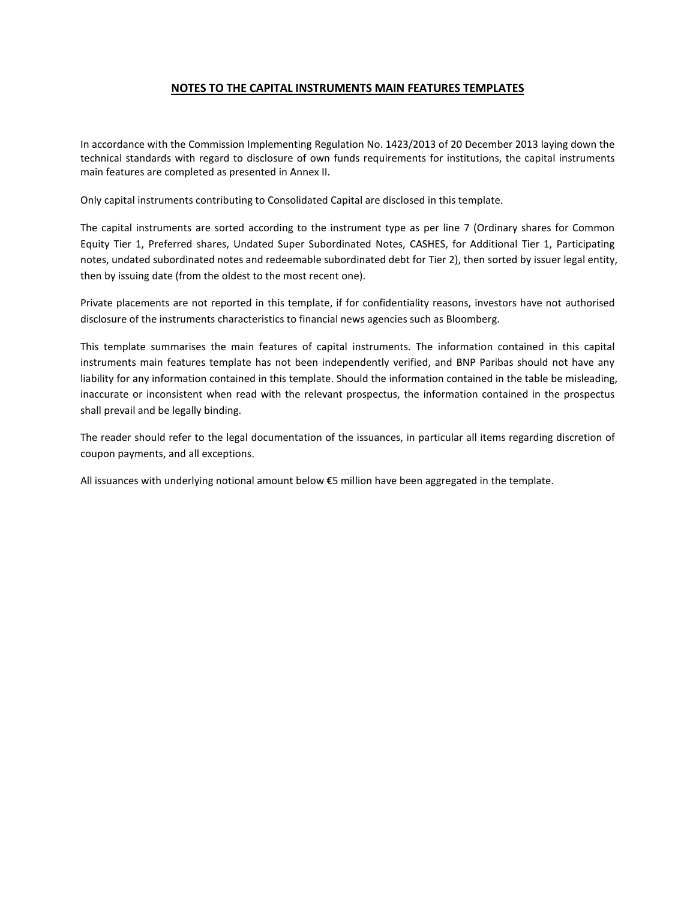## **NOTES TO THE CAPITAL INSTRUMENTS MAIN FEATURES TEMPLATES**

In accordance with the Commission Implementing Regulation No. 1423/2013 of 20 December 2013 laying down the technical standards with regard to disclosure of own funds requirements for institutions, the capital instruments main features are completed as presented in Annex II.

Only capital instruments contributing to Consolidated Capital are disclosed in this template.

The capital instruments are sorted according to the instrument type as per line 7 (Ordinary shares for Common Equity Tier 1, Preferred shares, Undated Super Subordinated Notes, CASHES, for Additional Tier 1, Participating notes, undated subordinated notes and redeemable subordinated debt for Tier 2), then sorted by issuer legal entity, then by issuing date (from the oldest to the most recent one).

Private placements are not reported in this template, if for confidentiality reasons, investors have not authorised disclosure of the instruments characteristics to financial news agencies such as Bloomberg.

This template summarises the main features of capital instruments. The information contained in this capital instruments main features template has not been independently verified, and BNP Paribas should not have any liability for any information contained in this template. Should the information contained in the table be misleading, inaccurate or inconsistent when read with the relevant prospectus, the information contained in the prospectus shall prevail and be legally binding.

The reader should refer to the legal documentation of the issuances, in particular all items regarding discretion of coupon payments, and all exceptions.

All issuances with underlying notional amount below €5 million have been aggregated in the template.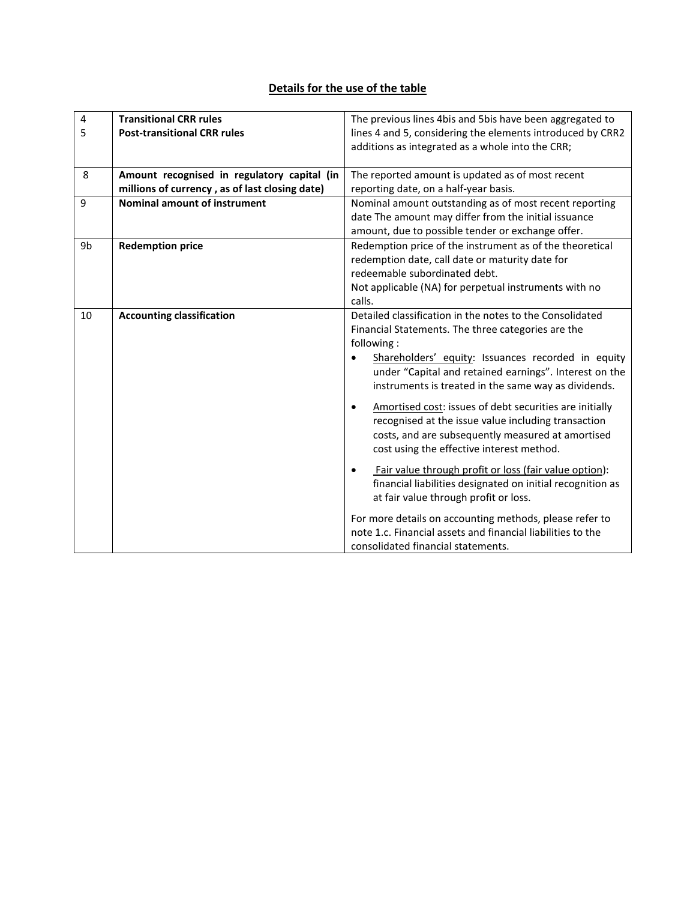## **Details for the use of the table**

| 4  | <b>Transitional CRR rules</b>                  | The previous lines 4bis and 5bis have been aggregated to             |  |  |  |
|----|------------------------------------------------|----------------------------------------------------------------------|--|--|--|
| 5  | <b>Post-transitional CRR rules</b>             | lines 4 and 5, considering the elements introduced by CRR2           |  |  |  |
|    |                                                | additions as integrated as a whole into the CRR;                     |  |  |  |
|    |                                                |                                                                      |  |  |  |
| 8  | Amount recognised in regulatory capital (in    | The reported amount is updated as of most recent                     |  |  |  |
|    | millions of currency, as of last closing date) | reporting date, on a half-year basis.                                |  |  |  |
| 9  | <b>Nominal amount of instrument</b>            | Nominal amount outstanding as of most recent reporting               |  |  |  |
|    |                                                | date The amount may differ from the initial issuance                 |  |  |  |
|    |                                                | amount, due to possible tender or exchange offer.                    |  |  |  |
| 9b | <b>Redemption price</b>                        | Redemption price of the instrument as of the theoretical             |  |  |  |
|    |                                                | redemption date, call date or maturity date for                      |  |  |  |
|    |                                                | redeemable subordinated debt.                                        |  |  |  |
|    |                                                | Not applicable (NA) for perpetual instruments with no                |  |  |  |
|    |                                                | calls.                                                               |  |  |  |
| 10 | <b>Accounting classification</b>               | Detailed classification in the notes to the Consolidated             |  |  |  |
|    |                                                | Financial Statements. The three categories are the                   |  |  |  |
|    |                                                | following:                                                           |  |  |  |
|    |                                                | Shareholders' equity: Issuances recorded in equity                   |  |  |  |
|    |                                                | under "Capital and retained earnings". Interest on the               |  |  |  |
|    |                                                | instruments is treated in the same way as dividends.                 |  |  |  |
|    |                                                |                                                                      |  |  |  |
|    |                                                | Amortised cost: issues of debt securities are initially<br>$\bullet$ |  |  |  |
|    |                                                | recognised at the issue value including transaction                  |  |  |  |
|    |                                                | costs, and are subsequently measured at amortised                    |  |  |  |
|    |                                                | cost using the effective interest method.                            |  |  |  |
|    |                                                | Fair value through profit or loss (fair value option):<br>$\bullet$  |  |  |  |
|    |                                                | financial liabilities designated on initial recognition as           |  |  |  |
|    |                                                | at fair value through profit or loss.                                |  |  |  |
|    |                                                |                                                                      |  |  |  |
|    |                                                | For more details on accounting methods, please refer to              |  |  |  |
|    |                                                | note 1.c. Financial assets and financial liabilities to the          |  |  |  |
|    |                                                | consolidated financial statements.                                   |  |  |  |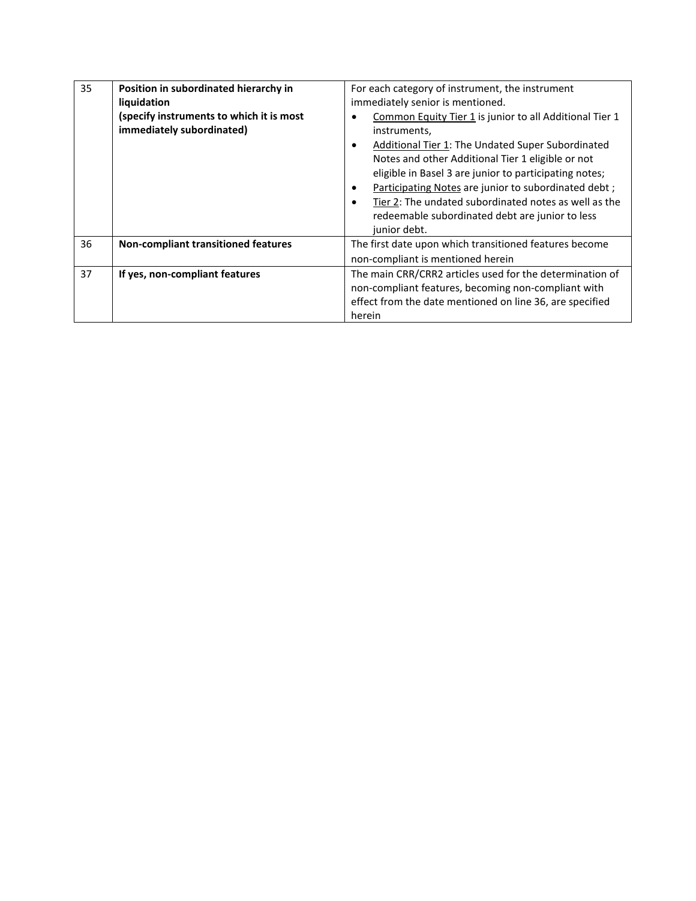| 35 | Position in subordinated hierarchy in<br>liquidation<br>(specify instruments to which it is most<br>immediately subordinated) | For each category of instrument, the instrument<br>immediately senior is mentioned.<br>Common Equity Tier 1 is junior to all Additional Tier 1<br>instruments,<br><b>Additional Tier 1: The Undated Super Subordinated</b><br>$\bullet$<br>Notes and other Additional Tier 1 eligible or not<br>eligible in Basel 3 are junior to participating notes;<br>Participating Notes are junior to subordinated debt;<br>٠<br>Tier 2: The undated subordinated notes as well as the<br>$\bullet$<br>redeemable subordinated debt are junior to less<br>junior debt. |  |  |
|----|-------------------------------------------------------------------------------------------------------------------------------|--------------------------------------------------------------------------------------------------------------------------------------------------------------------------------------------------------------------------------------------------------------------------------------------------------------------------------------------------------------------------------------------------------------------------------------------------------------------------------------------------------------------------------------------------------------|--|--|
| 36 | Non-compliant transitioned features                                                                                           | The first date upon which transitioned features become<br>non-compliant is mentioned herein                                                                                                                                                                                                                                                                                                                                                                                                                                                                  |  |  |
| 37 | If yes, non-compliant features                                                                                                | The main CRR/CRR2 articles used for the determination of<br>non-compliant features, becoming non-compliant with<br>effect from the date mentioned on line 36, are specified<br>herein                                                                                                                                                                                                                                                                                                                                                                        |  |  |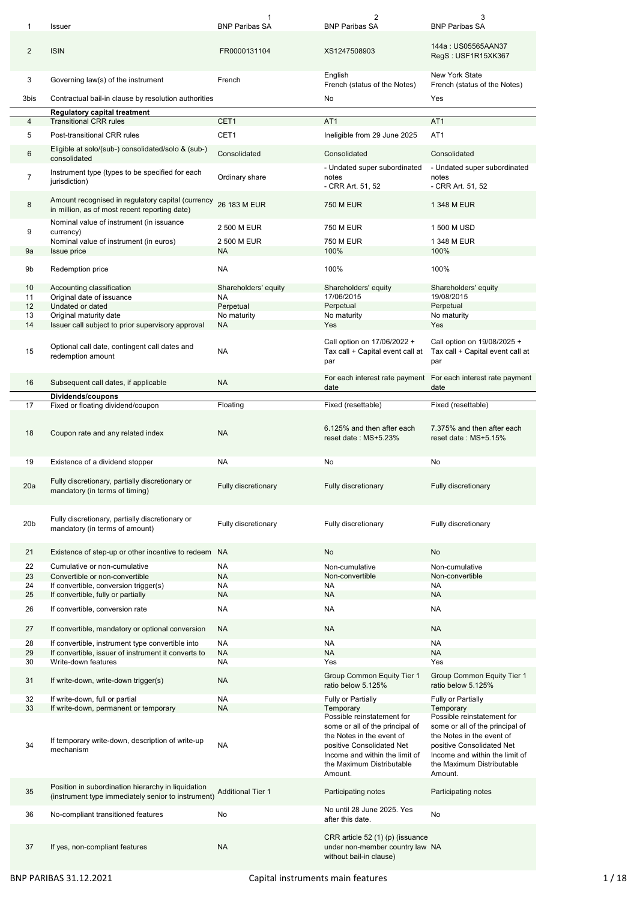|                 | Issuer                                                                                                   | 1<br><b>BNP Paribas SA</b> | 2<br><b>BNP Paribas SA</b>                                                                                                                                                                        | 3<br><b>BNP Paribas SA</b>                                                                                                                                                                        |
|-----------------|----------------------------------------------------------------------------------------------------------|----------------------------|---------------------------------------------------------------------------------------------------------------------------------------------------------------------------------------------------|---------------------------------------------------------------------------------------------------------------------------------------------------------------------------------------------------|
| $\overline{2}$  | <b>ISIN</b>                                                                                              | FR0000131104               | XS1247508903                                                                                                                                                                                      | 144a: US05565AAN37<br>RegS: USF1R15XK367                                                                                                                                                          |
| 3               | Governing law(s) of the instrument                                                                       | French                     | English<br>French (status of the Notes)                                                                                                                                                           | <b>New York State</b><br>French (status of the Notes)                                                                                                                                             |
| 3bis            | Contractual bail-in clause by resolution authorities                                                     |                            | No                                                                                                                                                                                                | Yes                                                                                                                                                                                               |
|                 | <b>Regulatory capital treatment</b>                                                                      |                            |                                                                                                                                                                                                   |                                                                                                                                                                                                   |
| 4               | <b>Transitional CRR rules</b>                                                                            | CET1                       | AT <sub>1</sub>                                                                                                                                                                                   | AT <sub>1</sub>                                                                                                                                                                                   |
| 5               | Post-transitional CRR rules                                                                              | CET1                       | Ineligible from 29 June 2025                                                                                                                                                                      | AT <sub>1</sub>                                                                                                                                                                                   |
| 6               | Eligible at solo/(sub-) consolidated/solo & (sub-)<br>consolidated                                       | Consolidated               | Consolidated                                                                                                                                                                                      | Consolidated                                                                                                                                                                                      |
| 7               | Instrument type (types to be specified for each<br>jurisdiction)                                         | Ordinary share             | - Undated super subordinated<br>notes<br>- CRR Art. 51, 52                                                                                                                                        | - Undated super subordinated<br>notes<br>- CRR Art. 51, 52                                                                                                                                        |
| 8               | Amount recognised in regulatory capital (currency<br>in million, as of most recent reporting date)       | 26 183 M EUR               | <b>750 M EUR</b>                                                                                                                                                                                  | 1 348 M EUR                                                                                                                                                                                       |
| 9               | Nominal value of instrument (in issuance<br>currency)                                                    | 2 500 M EUR                | 750 M EUR                                                                                                                                                                                         | 1 500 M USD                                                                                                                                                                                       |
|                 | Nominal value of instrument (in euros)                                                                   | 2 500 M EUR                | 750 M EUR                                                                                                                                                                                         | 1 348 M EUR                                                                                                                                                                                       |
| 9a              | <b>Issue price</b>                                                                                       | NA                         | 100%                                                                                                                                                                                              | 100%                                                                                                                                                                                              |
|                 |                                                                                                          |                            |                                                                                                                                                                                                   |                                                                                                                                                                                                   |
| 9b              | Redemption price                                                                                         | <b>NA</b>                  | 100%                                                                                                                                                                                              | 100%                                                                                                                                                                                              |
| 10              | Accounting classification                                                                                | Shareholders' equity       | Shareholders' equity                                                                                                                                                                              | Shareholders' equity                                                                                                                                                                              |
| 11              | Original date of issuance                                                                                | NA                         | 17/06/2015                                                                                                                                                                                        | 19/08/2015                                                                                                                                                                                        |
| 12              | Undated or dated                                                                                         | Perpetual                  | Perpetual                                                                                                                                                                                         | Perpetual<br>No maturity                                                                                                                                                                          |
| 13<br>14        | Original maturity date<br>Issuer call subject to prior supervisory approval                              | No maturity<br><b>NA</b>   | No maturity<br>Yes                                                                                                                                                                                | Yes                                                                                                                                                                                               |
|                 |                                                                                                          |                            |                                                                                                                                                                                                   |                                                                                                                                                                                                   |
| 15              | Optional call date, contingent call dates and<br>redemption amount                                       | <b>NA</b>                  | Call option on 17/06/2022 +<br>Tax call + Capital event call at<br>par                                                                                                                            | Call option on 19/08/2025 +<br>Tax call + Capital event call at<br>par                                                                                                                            |
| 16              | Subsequent call dates, if applicable                                                                     | <b>NA</b>                  | For each interest rate payment For each interest rate payment<br>date                                                                                                                             | date                                                                                                                                                                                              |
| 17              | Dividends/coupons<br>Fixed or floating dividend/coupon                                                   | Floating                   | Fixed (resettable)                                                                                                                                                                                | Fixed (resettable)                                                                                                                                                                                |
|                 |                                                                                                          |                            |                                                                                                                                                                                                   |                                                                                                                                                                                                   |
| 18              | Coupon rate and any related index                                                                        | <b>NA</b>                  | 6.125% and then after each<br>reset date: MS+5.23%                                                                                                                                                | 7.375% and then after each<br>reset date: MS+5.15%                                                                                                                                                |
|                 |                                                                                                          |                            |                                                                                                                                                                                                   |                                                                                                                                                                                                   |
| 19              | Existence of a dividend stopper                                                                          | <b>NA</b>                  | No                                                                                                                                                                                                | No                                                                                                                                                                                                |
| 20a             | Fully discretionary, partially discretionary or<br>mandatory (in terms of timing)                        | <b>Fully discretionary</b> | <b>Fully discretionary</b>                                                                                                                                                                        | <b>Fully discretionary</b>                                                                                                                                                                        |
| 20 <sub>b</sub> | Fully discretionary, partially discretionary or<br>mandatory (in terms of amount)                        | Fully discretionary        | Fully discretionary                                                                                                                                                                               | Fully discretionary                                                                                                                                                                               |
|                 |                                                                                                          | <b>NA</b>                  | <b>No</b>                                                                                                                                                                                         | <b>No</b>                                                                                                                                                                                         |
| 21              | Existence of step-up or other incentive to redeem                                                        |                            |                                                                                                                                                                                                   |                                                                                                                                                                                                   |
| 22              | Cumulative or non-cumulative                                                                             | <b>NA</b>                  | Non-cumulative                                                                                                                                                                                    | Non-cumulative                                                                                                                                                                                    |
| 23<br>24        | Convertible or non-convertible<br>If convertible, conversion trigger(s)                                  | <b>NA</b><br>NA            | Non-convertible<br><b>NA</b>                                                                                                                                                                      | Non-convertible<br>NA                                                                                                                                                                             |
| 25              | If convertible, fully or partially                                                                       | <b>NA</b>                  | <b>NA</b>                                                                                                                                                                                         | <b>NA</b>                                                                                                                                                                                         |
| 26              | If convertible, conversion rate                                                                          | <b>NA</b>                  | <b>NA</b>                                                                                                                                                                                         | <b>NA</b>                                                                                                                                                                                         |
| 27              | If convertible, mandatory or optional conversion                                                         | <b>NA</b>                  | <b>NA</b>                                                                                                                                                                                         | <b>NA</b>                                                                                                                                                                                         |
| 28              | If convertible, instrument type convertible into                                                         | <b>NA</b>                  | <b>NA</b>                                                                                                                                                                                         | <b>NA</b>                                                                                                                                                                                         |
| 29              | If convertible, issuer of instrument it converts to                                                      | <b>NA</b>                  | <b>NA</b>                                                                                                                                                                                         | <b>NA</b>                                                                                                                                                                                         |
| 30<br>31        | Write-down features<br>If write-down, write-down trigger(s)                                              | <b>NA</b><br><b>NA</b>     | Yes<br>Group Common Equity Tier 1<br>ratio below 5.125%                                                                                                                                           | Yes<br>Group Common Equity Tier 1<br>ratio below 5.125%                                                                                                                                           |
|                 |                                                                                                          |                            |                                                                                                                                                                                                   |                                                                                                                                                                                                   |
| 32<br>33        | If write-down, full or partial<br>If write-down, permanent or temporary                                  | <b>NA</b><br><b>NA</b>     | Fully or Partially<br>Temporary                                                                                                                                                                   | Fully or Partially<br>Temporary                                                                                                                                                                   |
| 34              | If temporary write-down, description of write-up<br>mechanism                                            | <b>NA</b>                  | Possible reinstatement for<br>some or all of the principal of<br>the Notes in the event of<br>positive Consolidated Net<br>Income and within the limit of<br>the Maximum Distributable<br>Amount. | Possible reinstatement for<br>some or all of the principal of<br>the Notes in the event of<br>positive Consolidated Net<br>Income and within the limit of<br>the Maximum Distributable<br>Amount. |
| 35              | Position in subordination hierarchy in liquidation<br>(instrument type immediately senior to instrument) | <b>Additional Tier 1</b>   | Participating notes                                                                                                                                                                               | Participating notes                                                                                                                                                                               |
| 36              | No-compliant transitioned features                                                                       | No                         | No until 28 June 2025. Yes<br>after this date.                                                                                                                                                    | No                                                                                                                                                                                                |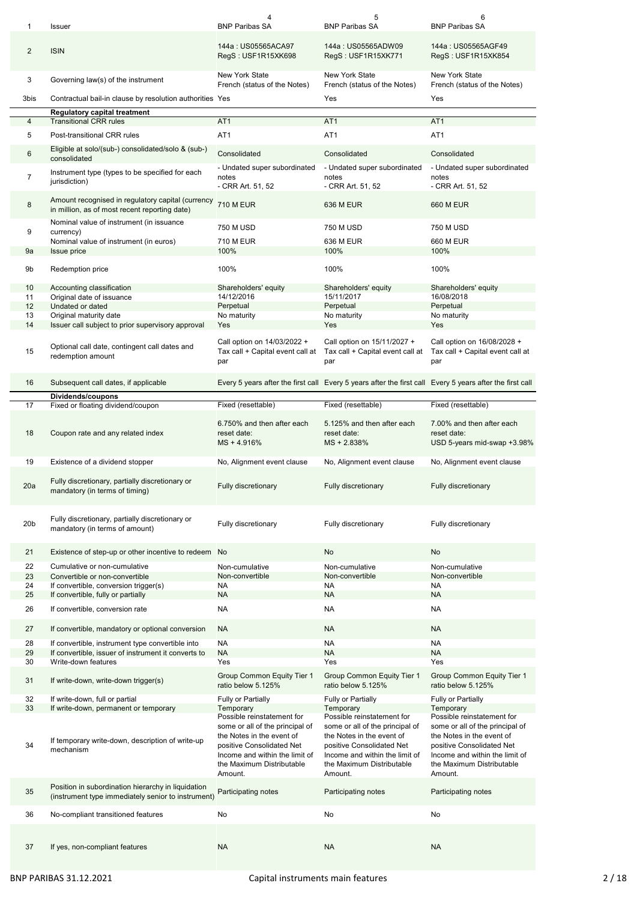| 1               | <b>Issuer</b>                                                                                            | 4<br><b>BNP Paribas SA</b>                                                                                                                                                                        | 5<br><b>BNP Paribas SA</b>                                                                                                                                                                        | 6<br><b>BNP Paribas SA</b>                                                                                                                                                                        |
|-----------------|----------------------------------------------------------------------------------------------------------|---------------------------------------------------------------------------------------------------------------------------------------------------------------------------------------------------|---------------------------------------------------------------------------------------------------------------------------------------------------------------------------------------------------|---------------------------------------------------------------------------------------------------------------------------------------------------------------------------------------------------|
| 2               | <b>ISIN</b>                                                                                              | 144a: US05565ACA97<br>RegS: USF1R15XK698                                                                                                                                                          | 144a: US05565ADW09<br>RegS: USF1R15XK771                                                                                                                                                          | 144a: US05565AGF49<br>RegS: USF1R15XK854                                                                                                                                                          |
| 3               | Governing law(s) of the instrument                                                                       | <b>New York State</b><br>French (status of the Notes)                                                                                                                                             | <b>New York State</b><br>French (status of the Notes)                                                                                                                                             | <b>New York State</b><br>French (status of the Notes)                                                                                                                                             |
| 3bis            | Contractual bail-in clause by resolution authorities Yes                                                 |                                                                                                                                                                                                   | Yes                                                                                                                                                                                               | Yes                                                                                                                                                                                               |
|                 | <b>Regulatory capital treatment</b>                                                                      | AT <sub>1</sub>                                                                                                                                                                                   | AT <sub>1</sub>                                                                                                                                                                                   | AT <sub>1</sub>                                                                                                                                                                                   |
| 4               | <b>Transitional CRR rules</b>                                                                            |                                                                                                                                                                                                   |                                                                                                                                                                                                   |                                                                                                                                                                                                   |
| 5               | Post-transitional CRR rules                                                                              | AT <sub>1</sub>                                                                                                                                                                                   | AT <sub>1</sub>                                                                                                                                                                                   | AT <sub>1</sub>                                                                                                                                                                                   |
| 6               | Eligible at solo/(sub-) consolidated/solo & (sub-)<br>consolidated                                       | Consolidated                                                                                                                                                                                      | Consolidated                                                                                                                                                                                      | Consolidated                                                                                                                                                                                      |
| 7               | Instrument type (types to be specified for each<br>jurisdiction)                                         | - Undated super subordinated<br>notes<br>- CRR Art. 51, 52                                                                                                                                        | - Undated super subordinated<br>notes<br>- CRR Art. 51, 52                                                                                                                                        | - Undated super subordinated<br>notes<br>- CRR Art. 51, 52                                                                                                                                        |
| 8               | Amount recognised in regulatory capital (currency<br>in million, as of most recent reporting date)       | <b>710 M EUR</b>                                                                                                                                                                                  | 636 M EUR                                                                                                                                                                                         | 660 M EUR                                                                                                                                                                                         |
| 9               | Nominal value of instrument (in issuance<br>currency)                                                    | <b>750 M USD</b>                                                                                                                                                                                  | <b>750 M USD</b>                                                                                                                                                                                  | 750 M USD                                                                                                                                                                                         |
|                 | Nominal value of instrument (in euros)                                                                   | 710 M EUR                                                                                                                                                                                         | 636 M EUR                                                                                                                                                                                         | 660 M EUR                                                                                                                                                                                         |
| 9a              | Issue price                                                                                              | 100%                                                                                                                                                                                              | 100%                                                                                                                                                                                              | 100%                                                                                                                                                                                              |
| 9b              | Redemption price                                                                                         | 100%                                                                                                                                                                                              | 100%                                                                                                                                                                                              | 100%                                                                                                                                                                                              |
| 10              | Accounting classification                                                                                | Shareholders' equity                                                                                                                                                                              | Shareholders' equity                                                                                                                                                                              | Shareholders' equity                                                                                                                                                                              |
| 11<br>12        | Original date of issuance<br>Undated or dated                                                            | 14/12/2016                                                                                                                                                                                        | 15/11/2017                                                                                                                                                                                        | 16/08/2018                                                                                                                                                                                        |
| 13              | Original maturity date                                                                                   | Perpetual<br>No maturity                                                                                                                                                                          | Perpetual<br>No maturity                                                                                                                                                                          | Perpetual<br>No maturity                                                                                                                                                                          |
| 14              | Issuer call subject to prior supervisory approval                                                        | Yes                                                                                                                                                                                               | Yes                                                                                                                                                                                               | Yes                                                                                                                                                                                               |
| 15              | Optional call date, contingent call dates and<br>redemption amount                                       | Call option on 14/03/2022 +<br>Tax call + Capital event call at<br>par                                                                                                                            | Call option on 15/11/2027 +<br>Tax call + Capital event call at<br>par                                                                                                                            | Call option on 16/08/2028 +<br>Tax call + Capital event call at<br>par                                                                                                                            |
| 16              | Subsequent call dates, if applicable                                                                     |                                                                                                                                                                                                   | Every 5 years after the first call Every 5 years after the first call Every 5 years after the first call                                                                                          |                                                                                                                                                                                                   |
|                 | Dividends/coupons                                                                                        |                                                                                                                                                                                                   |                                                                                                                                                                                                   |                                                                                                                                                                                                   |
| 17              | Fixed or floating dividend/coupon                                                                        | Fixed (resettable)                                                                                                                                                                                | Fixed (resettable)                                                                                                                                                                                | Fixed (resettable)                                                                                                                                                                                |
| 18              | Coupon rate and any related index                                                                        | 6.750% and then after each<br>reset date:<br>MS + 4.916%                                                                                                                                          | 5.125% and then after each<br>reset date:<br>MS + 2.838%                                                                                                                                          | 7.00% and then after each<br>reset date:<br>USD 5-years mid-swap +3.98%                                                                                                                           |
| 19              | Existence of a dividend stopper                                                                          | No, Alignment event clause                                                                                                                                                                        | No, Alignment event clause                                                                                                                                                                        | No, Alignment event clause                                                                                                                                                                        |
| 20a             | Fully discretionary, partially discretionary or<br>mandatory (in terms of timing)                        | <b>Fully discretionary</b>                                                                                                                                                                        | <b>Fully discretionary</b>                                                                                                                                                                        | <b>Fully discretionary</b>                                                                                                                                                                        |
| 20 <sub>b</sub> | Fully discretionary, partially discretionary or<br>mandatory (in terms of amount)                        | Fully discretionary                                                                                                                                                                               | Fully discretionary                                                                                                                                                                               | Fully discretionary                                                                                                                                                                               |
| 21              | Existence of step-up or other incentive to redeem No                                                     |                                                                                                                                                                                                   | No                                                                                                                                                                                                | No                                                                                                                                                                                                |
| 22              | Cumulative or non-cumulative                                                                             | Non-cumulative                                                                                                                                                                                    | Non-cumulative                                                                                                                                                                                    | Non-cumulative                                                                                                                                                                                    |
| 23              | Convertible or non-convertible                                                                           | Non-convertible                                                                                                                                                                                   | Non-convertible                                                                                                                                                                                   | Non-convertible                                                                                                                                                                                   |
| 24              | If convertible, conversion trigger(s)                                                                    | NA                                                                                                                                                                                                | NA                                                                                                                                                                                                | <b>NA</b>                                                                                                                                                                                         |
| 25              | If convertible, fully or partially                                                                       | <b>NA</b>                                                                                                                                                                                         | <b>NA</b>                                                                                                                                                                                         | <b>NA</b>                                                                                                                                                                                         |
| 26              | If convertible, conversion rate                                                                          | NA                                                                                                                                                                                                | <b>NA</b>                                                                                                                                                                                         | <b>NA</b>                                                                                                                                                                                         |
| 27              | If convertible, mandatory or optional conversion                                                         | NA.                                                                                                                                                                                               | NA.                                                                                                                                                                                               | <b>NA</b>                                                                                                                                                                                         |
| 28              | If convertible, instrument type convertible into                                                         | <b>NA</b>                                                                                                                                                                                         | NA                                                                                                                                                                                                | <b>NA</b>                                                                                                                                                                                         |
| 29              | If convertible, issuer of instrument it converts to                                                      | <b>NA</b>                                                                                                                                                                                         | <b>NA</b>                                                                                                                                                                                         | <b>NA</b>                                                                                                                                                                                         |
| 30              | Write-down features                                                                                      | Yes<br>Group Common Equity Tier 1                                                                                                                                                                 | Yes<br>Group Common Equity Tier 1                                                                                                                                                                 | Yes<br>Group Common Equity Tier 1                                                                                                                                                                 |
| 31              | If write-down, write-down trigger(s)                                                                     | ratio below 5.125%                                                                                                                                                                                | ratio below 5.125%                                                                                                                                                                                | ratio below 5.125%                                                                                                                                                                                |
| 32<br>33        | If write-down, full or partial<br>If write-down, permanent or temporary                                  | Fully or Partially<br>Temporary                                                                                                                                                                   | Fully or Partially<br>Temporary                                                                                                                                                                   | Fully or Partially<br>Temporary                                                                                                                                                                   |
| 34              | If temporary write-down, description of write-up<br>mechanism                                            | Possible reinstatement for<br>some or all of the principal of<br>the Notes in the event of<br>positive Consolidated Net<br>Income and within the limit of<br>the Maximum Distributable<br>Amount. | Possible reinstatement for<br>some or all of the principal of<br>the Notes in the event of<br>positive Consolidated Net<br>Income and within the limit of<br>the Maximum Distributable<br>Amount. | Possible reinstatement for<br>some or all of the principal of<br>the Notes in the event of<br>positive Consolidated Net<br>Income and within the limit of<br>the Maximum Distributable<br>Amount. |
| 35              | Position in subordination hierarchy in liquidation<br>(instrument type immediately senior to instrument) | Participating notes                                                                                                                                                                               | Participating notes                                                                                                                                                                               | Participating notes                                                                                                                                                                               |
| 36              | No-compliant transitioned features                                                                       | No                                                                                                                                                                                                | No                                                                                                                                                                                                | No                                                                                                                                                                                                |
|                 |                                                                                                          |                                                                                                                                                                                                   |                                                                                                                                                                                                   |                                                                                                                                                                                                   |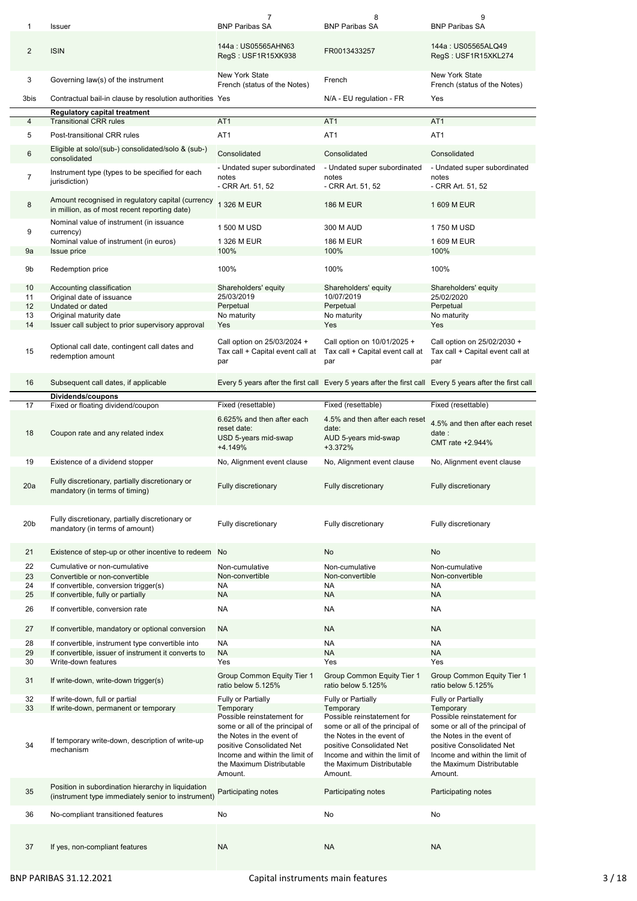| 1               | Issuer                                                                                                   | 7<br><b>BNP Paribas SA</b>                                                                                                                                                                                     | 8<br><b>BNP Paribas SA</b>                                                                                                                                                                                     | 9<br><b>BNP Paribas SA</b>                                                                                                                                                                                     |
|-----------------|----------------------------------------------------------------------------------------------------------|----------------------------------------------------------------------------------------------------------------------------------------------------------------------------------------------------------------|----------------------------------------------------------------------------------------------------------------------------------------------------------------------------------------------------------------|----------------------------------------------------------------------------------------------------------------------------------------------------------------------------------------------------------------|
| $\overline{2}$  | <b>ISIN</b>                                                                                              | 144a: US05565AHN63<br>RegS: USF1R15XK938                                                                                                                                                                       | FR0013433257                                                                                                                                                                                                   | 144a: US05565ALQ49<br>RegS: USF1R15XKL274                                                                                                                                                                      |
| 3               | Governing law(s) of the instrument                                                                       | <b>New York State</b><br>French (status of the Notes)                                                                                                                                                          | French                                                                                                                                                                                                         | New York State<br>French (status of the Notes)                                                                                                                                                                 |
| 3bis            | Contractual bail-in clause by resolution authorities Yes                                                 |                                                                                                                                                                                                                | N/A - EU regulation - FR                                                                                                                                                                                       | Yes                                                                                                                                                                                                            |
|                 | <b>Regulatory capital treatment</b>                                                                      |                                                                                                                                                                                                                |                                                                                                                                                                                                                |                                                                                                                                                                                                                |
| 4               | <b>Transitional CRR rules</b>                                                                            | AT <sub>1</sub>                                                                                                                                                                                                | AT <sub>1</sub>                                                                                                                                                                                                | AT <sub>1</sub>                                                                                                                                                                                                |
| 5               | Post-transitional CRR rules                                                                              | AT <sub>1</sub>                                                                                                                                                                                                | AT <sub>1</sub>                                                                                                                                                                                                | AT <sub>1</sub>                                                                                                                                                                                                |
| 6               | Eligible at solo/(sub-) consolidated/solo & (sub-)<br>consolidated                                       | Consolidated                                                                                                                                                                                                   | Consolidated                                                                                                                                                                                                   | Consolidated                                                                                                                                                                                                   |
| $\overline{7}$  | Instrument type (types to be specified for each<br>jurisdiction)                                         | - Undated super subordinated<br>notes<br>- CRR Art. 51, 52                                                                                                                                                     | - Undated super subordinated<br>notes<br>- CRR Art. 51, 52                                                                                                                                                     | - Undated super subordinated<br>notes<br>- CRR Art. 51, 52                                                                                                                                                     |
| 8               | Amount recognised in regulatory capital (currency<br>in million, as of most recent reporting date)       | 1 326 M EUR                                                                                                                                                                                                    | <b>186 M EUR</b>                                                                                                                                                                                               | 1 609 M EUR                                                                                                                                                                                                    |
| 9               | Nominal value of instrument (in issuance<br>currency)                                                    | 1 500 M USD                                                                                                                                                                                                    | 300 M AUD                                                                                                                                                                                                      | 1750 M USD                                                                                                                                                                                                     |
|                 | Nominal value of instrument (in euros)                                                                   | 1 326 M EUR                                                                                                                                                                                                    | <b>186 M EUR</b>                                                                                                                                                                                               | 1 609 M EUR                                                                                                                                                                                                    |
| 9a              | <b>Issue price</b>                                                                                       | 100%                                                                                                                                                                                                           | 100%                                                                                                                                                                                                           | 100%                                                                                                                                                                                                           |
| 9b              | Redemption price                                                                                         | 100%                                                                                                                                                                                                           | 100%                                                                                                                                                                                                           | 100%                                                                                                                                                                                                           |
| 10              | Accounting classification                                                                                | Shareholders' equity                                                                                                                                                                                           | Shareholders' equity                                                                                                                                                                                           | Shareholders' equity                                                                                                                                                                                           |
| 11              | Original date of issuance                                                                                | 25/03/2019                                                                                                                                                                                                     | 10/07/2019                                                                                                                                                                                                     | 25/02/2020                                                                                                                                                                                                     |
| 12<br>13        | Undated or dated<br>Original maturity date                                                               | Perpetual<br>No maturity                                                                                                                                                                                       | Perpetual<br>No maturity                                                                                                                                                                                       | Perpetual<br>No maturity                                                                                                                                                                                       |
| 14              | Issuer call subject to prior supervisory approval                                                        | Yes                                                                                                                                                                                                            | Yes                                                                                                                                                                                                            | Yes                                                                                                                                                                                                            |
| 15              | Optional call date, contingent call dates and<br>redemption amount                                       | Call option on 25/03/2024 +<br>Tax call + Capital event call at<br>par                                                                                                                                         | Call option on 10/01/2025 +<br>Tax call + Capital event call at<br>par                                                                                                                                         | Call option on 25/02/2030 +<br>Tax call + Capital event call at<br>par                                                                                                                                         |
| 16              | Subsequent call dates, if applicable                                                                     |                                                                                                                                                                                                                | Every 5 years after the first call Every 5 years after the first call Every 5 years after the first call                                                                                                       |                                                                                                                                                                                                                |
|                 | Dividends/coupons                                                                                        |                                                                                                                                                                                                                |                                                                                                                                                                                                                |                                                                                                                                                                                                                |
| 17              | Fixed or floating dividend/coupon                                                                        | Fixed (resettable)                                                                                                                                                                                             | Fixed (resettable)                                                                                                                                                                                             | Fixed (resettable)                                                                                                                                                                                             |
| 18              | Coupon rate and any related index                                                                        | 6.625% and then after each<br>reset date:<br>USD 5-years mid-swap<br>+4.149%                                                                                                                                   | 4.5% and then after each reset<br>date:<br>AUD 5-years mid-swap<br>+3.372%                                                                                                                                     | 4.5% and then after each reset<br>date:<br>CMT rate +2.944%                                                                                                                                                    |
| 19              | Existence of a dividend stopper                                                                          | No, Alignment event clause                                                                                                                                                                                     | No, Alignment event clause                                                                                                                                                                                     | No, Alignment event clause                                                                                                                                                                                     |
|                 |                                                                                                          |                                                                                                                                                                                                                |                                                                                                                                                                                                                |                                                                                                                                                                                                                |
| 20a             | Fully discretionary, partially discretionary or<br>mandatory (in terms of timing)                        | <b>Fully discretionary</b>                                                                                                                                                                                     | <b>Fully discretionary</b>                                                                                                                                                                                     | <b>Fully discretionary</b>                                                                                                                                                                                     |
| 20 <sub>b</sub> | Fully discretionary, partially discretionary or<br>mandatory (in terms of amount)                        | Fully discretionary                                                                                                                                                                                            | Fully discretionary                                                                                                                                                                                            | Fully discretionary                                                                                                                                                                                            |
| 21              | Existence of step-up or other incentive to redeem No                                                     |                                                                                                                                                                                                                | No                                                                                                                                                                                                             | No                                                                                                                                                                                                             |
| 22              | Cumulative or non-cumulative                                                                             | Non-cumulative                                                                                                                                                                                                 |                                                                                                                                                                                                                |                                                                                                                                                                                                                |
| 23              | Convertible or non-convertible                                                                           | Non-convertible                                                                                                                                                                                                | Non-cumulative<br>Non-convertible                                                                                                                                                                              | Non-cumulative<br>Non-convertible                                                                                                                                                                              |
| 24              | If convertible, conversion trigger(s)                                                                    | ΝA                                                                                                                                                                                                             | <b>NA</b>                                                                                                                                                                                                      | <b>NA</b>                                                                                                                                                                                                      |
| 25              | If convertible, fully or partially                                                                       | <b>NA</b>                                                                                                                                                                                                      | <b>NA</b>                                                                                                                                                                                                      | <b>NA</b>                                                                                                                                                                                                      |
| 26              | If convertible, conversion rate                                                                          | NA                                                                                                                                                                                                             | <b>NA</b>                                                                                                                                                                                                      | <b>NA</b>                                                                                                                                                                                                      |
| 27              | If convertible, mandatory or optional conversion                                                         | <b>NA</b>                                                                                                                                                                                                      | <b>NA</b>                                                                                                                                                                                                      | <b>NA</b>                                                                                                                                                                                                      |
| 28              | If convertible, instrument type convertible into                                                         | <b>NA</b>                                                                                                                                                                                                      | <b>NA</b>                                                                                                                                                                                                      | <b>NA</b>                                                                                                                                                                                                      |
| 29              | If convertible, issuer of instrument it converts to                                                      | <b>NA</b>                                                                                                                                                                                                      | <b>NA</b>                                                                                                                                                                                                      | <b>NA</b>                                                                                                                                                                                                      |
| 30<br>31        | Write-down features<br>If write-down, write-down trigger(s)                                              | Yes<br>Group Common Equity Tier 1                                                                                                                                                                              | Yes<br>Group Common Equity Tier 1                                                                                                                                                                              | Yes<br>Group Common Equity Tier 1                                                                                                                                                                              |
|                 |                                                                                                          | ratio below 5.125%                                                                                                                                                                                             | ratio below 5.125%                                                                                                                                                                                             | ratio below 5.125%                                                                                                                                                                                             |
| 32              | If write-down, full or partial                                                                           | Fully or Partially                                                                                                                                                                                             | Fully or Partially                                                                                                                                                                                             | Fully or Partially                                                                                                                                                                                             |
| 33<br>34        | If write-down, permanent or temporary<br>If temporary write-down, description of write-up<br>mechanism   | Temporary<br>Possible reinstatement for<br>some or all of the principal of<br>the Notes in the event of<br>positive Consolidated Net<br>Income and within the limit of<br>the Maximum Distributable<br>Amount. | Temporary<br>Possible reinstatement for<br>some or all of the principal of<br>the Notes in the event of<br>positive Consolidated Net<br>Income and within the limit of<br>the Maximum Distributable<br>Amount. | Temporary<br>Possible reinstatement for<br>some or all of the principal of<br>the Notes in the event of<br>positive Consolidated Net<br>Income and within the limit of<br>the Maximum Distributable<br>Amount. |
| 35              | Position in subordination hierarchy in liquidation<br>(instrument type immediately senior to instrument) | Participating notes                                                                                                                                                                                            | Participating notes                                                                                                                                                                                            | Participating notes                                                                                                                                                                                            |
| 36              | No-compliant transitioned features                                                                       | No                                                                                                                                                                                                             | No                                                                                                                                                                                                             | No                                                                                                                                                                                                             |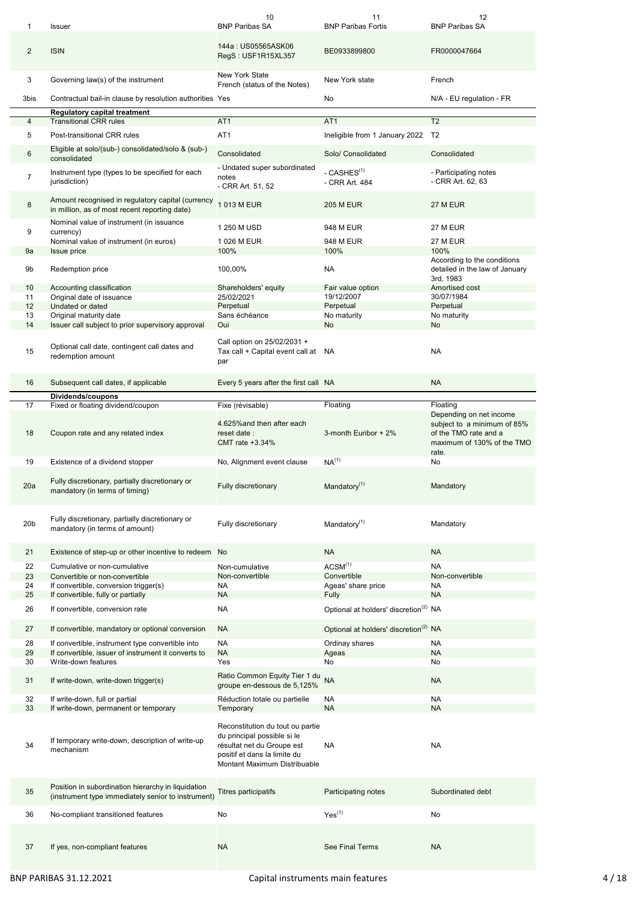| 1               | Issuer                                                                                                   | 10<br><b>BNP Paribas SA</b>                                                                                                                                   | 11<br><b>BNP Paribas Fortis</b>                   | 12<br><b>BNP Paribas SA</b>                                                                                            |
|-----------------|----------------------------------------------------------------------------------------------------------|---------------------------------------------------------------------------------------------------------------------------------------------------------------|---------------------------------------------------|------------------------------------------------------------------------------------------------------------------------|
|                 |                                                                                                          |                                                                                                                                                               |                                                   |                                                                                                                        |
| $\overline{2}$  | <b>ISIN</b>                                                                                              | 144a: US05565ASK06<br>RegS: USF1R15XL357                                                                                                                      | BE0933899800                                      | FR0000047664                                                                                                           |
| 3               | Governing law(s) of the instrument                                                                       | <b>New York State</b><br>French (status of the Notes)                                                                                                         | New York state                                    | French                                                                                                                 |
| 3bis            | Contractual bail-in clause by resolution authorities Yes                                                 |                                                                                                                                                               | No                                                | N/A - EU regulation - FR                                                                                               |
| 4               | <b>Regulatory capital treatment</b><br><b>Transitional CRR rules</b>                                     | AT <sub>1</sub>                                                                                                                                               | AT <sub>1</sub>                                   | T <sub>2</sub>                                                                                                         |
| 5               | Post-transitional CRR rules                                                                              | AT <sub>1</sub>                                                                                                                                               | Ineligible from 1 January 2022 T2                 |                                                                                                                        |
|                 | Eligible at solo/(sub-) consolidated/solo & (sub-)                                                       |                                                                                                                                                               |                                                   |                                                                                                                        |
| 6               | consolidated                                                                                             | Consolidated<br>- Undated super subordinated                                                                                                                  | Solo/ Consolidated                                | Consolidated                                                                                                           |
| 7               | Instrument type (types to be specified for each<br>jurisdiction)                                         | notes<br>- CRR Art. 51, 52                                                                                                                                    | - CASHES <sup>(1)</sup><br>- CRR Art. 484         | - Participating notes<br>- CRR Art. 62, 63                                                                             |
| 8               | Amount recognised in regulatory capital (currency<br>in million, as of most recent reporting date)       | 1 013 M EUR                                                                                                                                                   | <b>205 M EUR</b>                                  | 27 M EUR                                                                                                               |
| 9               | Nominal value of instrument (in issuance<br>currency)                                                    | 1 250 M USD                                                                                                                                                   | 948 M EUR                                         | <b>27 M EUR</b>                                                                                                        |
|                 | Nominal value of instrument (in euros)                                                                   | 1 026 M EUR                                                                                                                                                   | 948 M EUR                                         | 27 M EUR                                                                                                               |
| 9a              | Issue price                                                                                              | 100%                                                                                                                                                          | 100%                                              | 100%                                                                                                                   |
| 9b              | Redemption price                                                                                         | 100,00%                                                                                                                                                       | <b>NA</b>                                         | According to the conditions<br>detailed in the law of January<br>3rd, 1983                                             |
| 10              | Accounting classification                                                                                | Shareholders' equity                                                                                                                                          | Fair value option                                 | Amortised cost                                                                                                         |
| 11<br>12        | Original date of issuance<br>Undated or dated                                                            | 25/02/2021                                                                                                                                                    | 19/12/2007<br>Perpetual                           | 30/07/1984<br>Perpetual                                                                                                |
| 13              | Original maturity date                                                                                   | Perpetual<br>Sans échéance                                                                                                                                    | No maturity                                       | No maturity                                                                                                            |
| 14              | Issuer call subject to prior supervisory approval                                                        | Oui                                                                                                                                                           | No                                                | No                                                                                                                     |
| 15              | Optional call date, contingent call dates and<br>redemption amount                                       | Call option on 25/02/2031 +<br>Tax call + Capital event call at NA<br>par                                                                                     |                                                   | <b>NA</b>                                                                                                              |
| 16              | Subsequent call dates, if applicable                                                                     | Every 5 years after the first call NA                                                                                                                         |                                                   | <b>NA</b>                                                                                                              |
|                 | Dividends/coupons                                                                                        |                                                                                                                                                               |                                                   |                                                                                                                        |
| 17              | Fixed or floating dividend/coupon                                                                        | Fixe (révisable)                                                                                                                                              | Floating                                          | Floating                                                                                                               |
| 18              | Coupon rate and any related index                                                                        | 4.625% and then after each<br>reset date:<br>CMT rate +3.34%                                                                                                  | 3-month Euribor + 2%                              | Depending on net income<br>subject to a minimum of 85%<br>of the TMO rate and a<br>maximum of 130% of the TMO<br>rate. |
| 19              | Existence of a dividend stopper                                                                          | No, Alignment event clause                                                                                                                                    | NA <sup>(1)</sup>                                 | No                                                                                                                     |
| 20a             | Fully discretionary, partially discretionary or<br>mandatory (in terms of timing)                        | Fully discretionary                                                                                                                                           | Mandatory $(1)$                                   | Mandatory                                                                                                              |
| 20 <sub>b</sub> | Fully discretionary, partially discretionary or<br>mandatory (in terms of amount)                        | Fully discretionary                                                                                                                                           | Mandatory <sup>(1)</sup>                          | Mandatory                                                                                                              |
| 21              | Existence of step-up or other incentive to redeem No                                                     |                                                                                                                                                               | <b>NA</b>                                         | <b>NA</b>                                                                                                              |
| 22              | Cumulative or non-cumulative                                                                             | Non-cumulative                                                                                                                                                | ACSM <sup>(1)</sup>                               | <b>NA</b>                                                                                                              |
| 23              | Convertible or non-convertible                                                                           | Non-convertible                                                                                                                                               | Convertible                                       | Non-convertible                                                                                                        |
| 24              | If convertible, conversion trigger(s)                                                                    | <b>NA</b>                                                                                                                                                     | Ageas' share price                                | <b>NA</b>                                                                                                              |
| 25              | If convertible, fully or partially                                                                       | <b>NA</b>                                                                                                                                                     | Fully                                             | <b>NA</b>                                                                                                              |
| 26              | If convertible, conversion rate                                                                          | NA                                                                                                                                                            | Optional at holders' discretion <sup>(2)</sup> NA |                                                                                                                        |
| 27              | If convertible, mandatory or optional conversion                                                         | <b>NA</b>                                                                                                                                                     | Optional at holders' discretion <sup>(2)</sup> NA |                                                                                                                        |
| 28              | If convertible, instrument type convertible into                                                         | <b>NA</b>                                                                                                                                                     | Ordinay shares                                    | <b>NA</b>                                                                                                              |
| 29<br>30        | If convertible, issuer of instrument it converts to<br>Write-down features                               | <b>NA</b><br>Yes                                                                                                                                              | Ageas<br>No                                       | <b>NA</b><br>No                                                                                                        |
| 31              | If write-down, write-down trigger(s)                                                                     | Ratio Common Equity Tier 1 du                                                                                                                                 | <b>NA</b>                                         | <b>NA</b>                                                                                                              |
| 32              | If write-down, full or partial                                                                           | groupe en-dessous de 5,125%<br>Réduction totale ou partielle                                                                                                  | NA                                                | <b>NA</b>                                                                                                              |
| 33              | If write-down, permanent or temporary                                                                    | Temporary                                                                                                                                                     | <b>NA</b>                                         | <b>NA</b>                                                                                                              |
| 34              | If temporary write-down, description of write-up<br>mechanism                                            | Reconstitution du tout ou partie<br>du principal possible si le<br>résultat net du Groupe est<br>positif et dans la limite du<br>Montant Maximum Distribuable | NA                                                | NA                                                                                                                     |
| 35              | Position in subordination hierarchy in liquidation<br>(instrument type immediately senior to instrument) | Titres participatifs                                                                                                                                          | Participating notes                               | Subordinated debt                                                                                                      |
| 36              | No-compliant transitioned features                                                                       | No                                                                                                                                                            | Yes <sup>(1)</sup>                                | No                                                                                                                     |
|                 |                                                                                                          |                                                                                                                                                               |                                                   |                                                                                                                        |
| 37              | If yes, non-compliant features                                                                           | <b>NA</b>                                                                                                                                                     | See Final Terms                                   | <b>NA</b>                                                                                                              |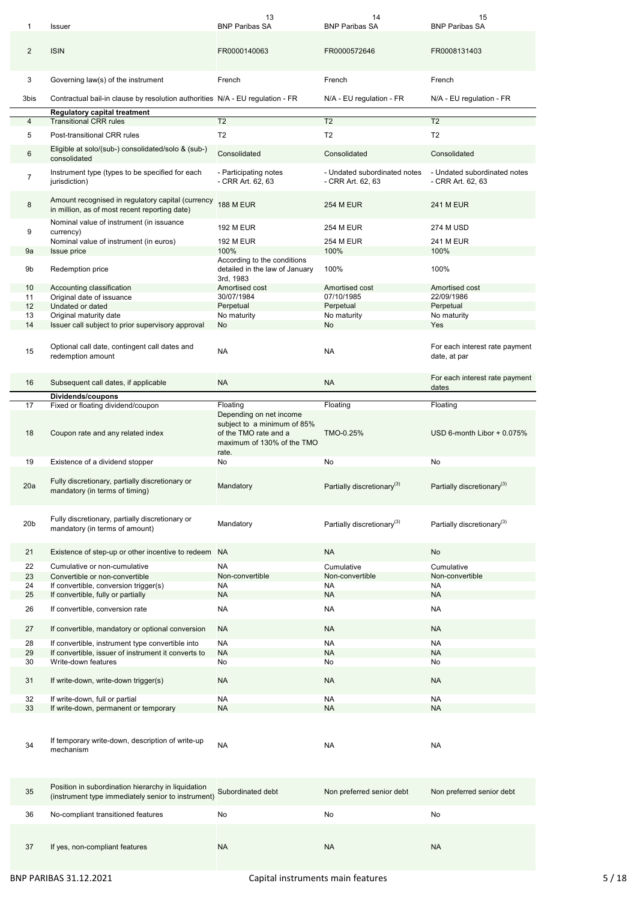| 1               | Issuer                                                                                                   | 13<br><b>BNP Paribas SA</b>                                                | 14<br><b>BNP Paribas SA</b>                       | 15<br><b>BNP Paribas SA</b>                       |
|-----------------|----------------------------------------------------------------------------------------------------------|----------------------------------------------------------------------------|---------------------------------------------------|---------------------------------------------------|
| $\overline{2}$  | <b>ISIN</b>                                                                                              | FR0000140063                                                               | FR0000572646                                      | FR0008131403                                      |
| 3               | Governing law(s) of the instrument                                                                       | French                                                                     | French                                            | French                                            |
| 3bis            | Contractual bail-in clause by resolution authorities N/A - EU regulation - FR                            |                                                                            | N/A - EU regulation - FR                          | N/A - EU regulation - FR                          |
|                 | <b>Regulatory capital treatment</b><br><b>Transitional CRR rules</b>                                     | T <sub>2</sub>                                                             | T <sub>2</sub>                                    | T <sub>2</sub>                                    |
| 4               |                                                                                                          |                                                                            |                                                   |                                                   |
| 5               | Post-transitional CRR rules                                                                              | T <sub>2</sub>                                                             | T <sub>2</sub>                                    | T <sub>2</sub>                                    |
| 6               | Eligible at solo/(sub-) consolidated/solo & (sub-)<br>consolidated                                       | Consolidated                                                               | Consolidated                                      | Consolidated                                      |
| $\overline{7}$  | Instrument type (types to be specified for each<br>jurisdiction)                                         | - Participating notes<br>- CRR Art. 62, 63                                 | - Undated subordinated notes<br>- CRR Art. 62, 63 | - Undated subordinated notes<br>- CRR Art. 62, 63 |
| 8               | Amount recognised in regulatory capital (currency<br>in million, as of most recent reporting date)       | <b>188 M EUR</b>                                                           | <b>254 M EUR</b>                                  | 241 M EUR                                         |
| 9               | Nominal value of instrument (in issuance<br>currency)                                                    | <b>192 M EUR</b>                                                           | <b>254 M EUR</b>                                  | 274 M USD                                         |
|                 | Nominal value of instrument (in euros)                                                                   | <b>192 M EUR</b>                                                           | 254 M EUR                                         | 241 M EUR                                         |
| 9a              | <b>Issue price</b>                                                                                       | 100%                                                                       | 100%                                              | 100%                                              |
| 9b              | Redemption price                                                                                         | According to the conditions<br>detailed in the law of January<br>3rd, 1983 | 100%                                              | 100%                                              |
| 10              | Accounting classification                                                                                | Amortised cost                                                             | Amortised cost                                    | Amortised cost                                    |
| 11              | Original date of issuance                                                                                | 30/07/1984                                                                 | 07/10/1985                                        | 22/09/1986                                        |
| 12<br>13        | Undated or dated<br>Original maturity date                                                               | Perpetual<br>No maturity                                                   | Perpetual<br>No maturity                          | Perpetual<br>No maturity                          |
| 14              | Issuer call subject to prior supervisory approval                                                        | No                                                                         | <b>No</b>                                         | Yes                                               |
| 15              | Optional call date, contingent call dates and<br>redemption amount                                       | <b>NA</b>                                                                  | <b>NA</b>                                         | For each interest rate payment<br>date, at par    |
| 16              | Subsequent call dates, if applicable                                                                     | <b>NA</b>                                                                  | <b>NA</b>                                         | For each interest rate payment<br>dates           |
|                 | Dividends/coupons                                                                                        |                                                                            |                                                   |                                                   |
| 17              | Fixed or floating dividend/coupon                                                                        | Floating                                                                   | Floating                                          | Floating                                          |
|                 |                                                                                                          | Depending on net income                                                    |                                                   |                                                   |
|                 | Coupon rate and any related index                                                                        | subject to a minimum of 85%<br>of the TMO rate and a                       | TMO-0.25%                                         | USD 6-month Libor + 0.075%                        |
| 18              |                                                                                                          | maximum of 130% of the TMO<br>rate.                                        |                                                   |                                                   |
| 19              | Existence of a dividend stopper                                                                          | No                                                                         | No                                                | No                                                |
| 20a             | Fully discretionary, partially discretionary or<br>mandatory (in terms of timing)                        | Mandatory                                                                  | Partially discretionary <sup>(3)</sup>            | Partially discretionary <sup>(3)</sup>            |
| 20 <sub>b</sub> | Fully discretionary, partially discretionary or<br>mandatory (in terms of amount)                        | Mandatory                                                                  | Partially discretionary <sup>(3)</sup>            | Partially discretionary <sup>(3)</sup>            |
| 21              | Existence of step-up or other incentive to redeem NA                                                     |                                                                            | <b>NA</b>                                         | No                                                |
| 22              | Cumulative or non-cumulative                                                                             | <b>NA</b>                                                                  | Cumulative                                        | Cumulative                                        |
| 23              | Convertible or non-convertible                                                                           | Non-convertible                                                            | Non-convertible                                   | Non-convertible                                   |
| 24              | If convertible, conversion trigger(s)                                                                    | NA                                                                         | <b>NA</b>                                         | <b>NA</b>                                         |
| 25              | If convertible, fully or partially                                                                       | NA.                                                                        | <b>NA</b>                                         | NA                                                |
| 26              | If convertible, conversion rate                                                                          | NA                                                                         | <b>NA</b>                                         | <b>NA</b>                                         |
| 27              | If convertible, mandatory or optional conversion                                                         | <b>NA</b>                                                                  | <b>NA</b>                                         | <b>NA</b>                                         |
| 28              | If convertible, instrument type convertible into                                                         | <b>NA</b>                                                                  | <b>NA</b>                                         | <b>NA</b>                                         |
| 29              | If convertible, issuer of instrument it converts to                                                      | <b>NA</b>                                                                  | <b>NA</b>                                         | <b>NA</b>                                         |
| 30              | Write-down features                                                                                      | No                                                                         | No                                                | No                                                |
| 31              | If write-down, write-down trigger(s)                                                                     | <b>NA</b>                                                                  | <b>NA</b>                                         | NA                                                |
| 32              | If write-down, full or partial                                                                           | <b>NA</b>                                                                  | <b>NA</b>                                         | <b>NA</b>                                         |
| 33              | If write-down, permanent or temporary                                                                    | <b>NA</b>                                                                  | <b>NA</b>                                         | <b>NA</b>                                         |
| 34              | If temporary write-down, description of write-up<br>mechanism                                            | <b>NA</b>                                                                  | <b>NA</b>                                         | <b>NA</b>                                         |
| 35              | Position in subordination hierarchy in liquidation<br>(instrument type immediately senior to instrument) | Subordinated debt                                                          | Non preferred senior debt                         | Non preferred senior debt                         |
| 36              | No-compliant transitioned features                                                                       | No                                                                         | No                                                | No                                                |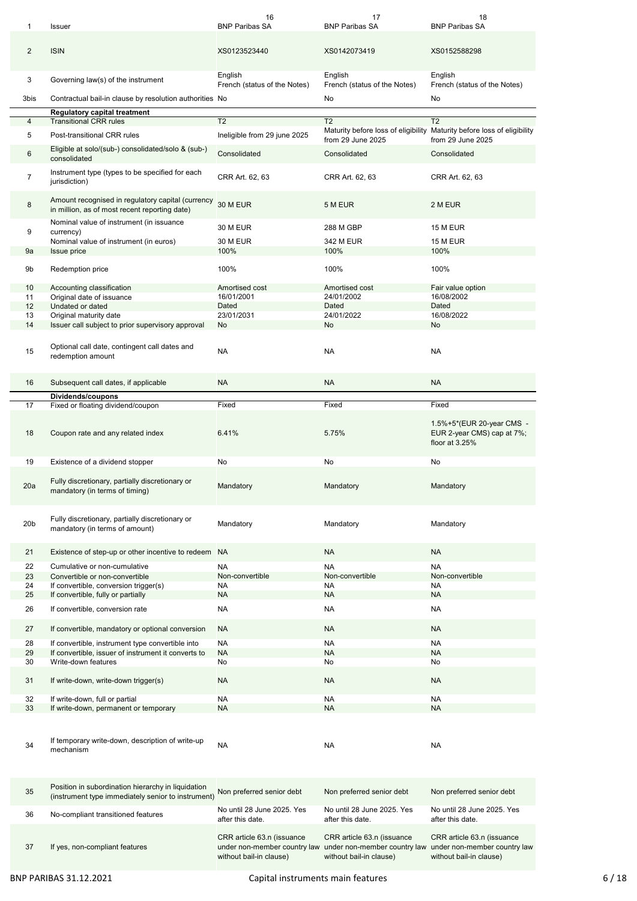| 1                     | Issuer                                                                                                   | 16<br><b>BNP Paribas SA</b>                                                           | 17<br><b>BNP Paribas SA</b>                                                           | 18<br><b>BNP Paribas SA</b>                                                           |
|-----------------------|----------------------------------------------------------------------------------------------------------|---------------------------------------------------------------------------------------|---------------------------------------------------------------------------------------|---------------------------------------------------------------------------------------|
| $\overline{2}$        | <b>ISIN</b>                                                                                              | XS0123523440                                                                          | XS0142073419                                                                          | XS0152588298                                                                          |
| 3                     | Governing law(s) of the instrument                                                                       | English<br>French (status of the Notes)                                               | English<br>French (status of the Notes)                                               | English<br>French (status of the Notes)                                               |
| 3bis                  | Contractual bail-in clause by resolution authorities No                                                  |                                                                                       | No                                                                                    | No                                                                                    |
| 4                     | <b>Regulatory capital treatment</b><br><b>Transitional CRR rules</b>                                     | T <sub>2</sub>                                                                        | T <sub>2</sub>                                                                        | T <sub>2</sub>                                                                        |
| 5                     | Post-transitional CRR rules                                                                              | Ineligible from 29 june 2025                                                          |                                                                                       | Maturity before loss of eligibility Maturity before loss of eligibility               |
|                       |                                                                                                          |                                                                                       | from 29 June 2025                                                                     | from 29 June 2025                                                                     |
| 6                     | Eligible at solo/(sub-) consolidated/solo & (sub-)<br>consolidated                                       | Consolidated                                                                          | Consolidated                                                                          | Consolidated                                                                          |
| $\overline{7}$        | Instrument type (types to be specified for each<br>jurisdiction)                                         | CRR Art. 62, 63                                                                       | CRR Art. 62, 63                                                                       | CRR Art. 62, 63                                                                       |
| 8                     | Amount recognised in regulatory capital (currency<br>in million, as of most recent reporting date)       | 30 M EUR                                                                              | 5 M EUR                                                                               | 2 M EUR                                                                               |
| 9                     | Nominal value of instrument (in issuance<br>currency)                                                    | 30 M EUR                                                                              | 288 M GBP                                                                             | 15 M EUR                                                                              |
|                       | Nominal value of instrument (in euros)                                                                   | 30 M EUR                                                                              | 342 M EUR                                                                             | <b>15 M EUR</b>                                                                       |
| 9a                    | <b>Issue price</b>                                                                                       | 100%                                                                                  | 100%                                                                                  | 100%                                                                                  |
|                       |                                                                                                          |                                                                                       |                                                                                       |                                                                                       |
| 9b                    | Redemption price                                                                                         | 100%                                                                                  | 100%                                                                                  | 100%                                                                                  |
| 10 <sup>1</sup><br>11 | Accounting classification<br>Original date of issuance                                                   | Amortised cost<br>16/01/2001                                                          | Amortised cost<br>24/01/2002                                                          | Fair value option<br>16/08/2002                                                       |
| 12                    | Undated or dated                                                                                         | Dated                                                                                 | Dated                                                                                 | Dated                                                                                 |
| 13                    | Original maturity date                                                                                   | 23/01/2031                                                                            | 24/01/2022                                                                            | 16/08/2022                                                                            |
| 14                    | Issuer call subject to prior supervisory approval                                                        | No                                                                                    | No                                                                                    | No                                                                                    |
| 15                    | Optional call date, contingent call dates and                                                            | NA                                                                                    | NA                                                                                    | NA                                                                                    |
|                       | redemption amount                                                                                        |                                                                                       |                                                                                       |                                                                                       |
| 16                    | Subsequent call dates, if applicable                                                                     | <b>NA</b>                                                                             | <b>NA</b>                                                                             | <b>NA</b>                                                                             |
|                       | Dividends/coupons                                                                                        |                                                                                       |                                                                                       |                                                                                       |
| 17                    | Fixed or floating dividend/coupon                                                                        | Fixed                                                                                 | Fixed                                                                                 | Fixed                                                                                 |
| 18                    | Coupon rate and any related index                                                                        | 6.41%                                                                                 | 5.75%                                                                                 | 1.5%+5*(EUR 20-year CMS -<br>EUR 2-year CMS) cap at 7%;<br>floor at 3.25%             |
| 19                    | Existence of a dividend stopper                                                                          | No                                                                                    | No                                                                                    | No                                                                                    |
| 20a                   | Fully discretionary, partially discretionary or<br>mandatory (in terms of timing)                        | Mandatory                                                                             | Mandatory                                                                             | Mandatory                                                                             |
| 20 <sub>b</sub>       | Fully discretionary, partially discretionary or<br>mandatory (in terms of amount)                        | Mandatory                                                                             | Mandatory                                                                             | Mandatory                                                                             |
| 21                    | Existence of step-up or other incentive to redeem NA                                                     |                                                                                       | <b>NA</b>                                                                             | <b>NA</b>                                                                             |
| 22                    | Cumulative or non-cumulative                                                                             | <b>NA</b>                                                                             | <b>NA</b>                                                                             | <b>NA</b>                                                                             |
| 23                    | Convertible or non-convertible                                                                           | Non-convertible                                                                       | Non-convertible                                                                       | Non-convertible                                                                       |
| 24                    | If convertible, conversion trigger(s)                                                                    | NA                                                                                    | NA                                                                                    | NA                                                                                    |
| 25                    | If convertible, fully or partially                                                                       | NA.                                                                                   | <b>NA</b>                                                                             | <b>NA</b>                                                                             |
| 26                    | If convertible, conversion rate                                                                          | NA                                                                                    | NA                                                                                    | NA                                                                                    |
| 27                    | If convertible, mandatory or optional conversion                                                         | NA                                                                                    | <b>NA</b>                                                                             | <b>NA</b>                                                                             |
| 28                    | If convertible, instrument type convertible into                                                         | <b>NA</b>                                                                             | NA                                                                                    | NA                                                                                    |
| 29                    | If convertible, issuer of instrument it converts to                                                      | <b>NA</b>                                                                             | <b>NA</b>                                                                             | <b>NA</b>                                                                             |
| 30                    | Write-down features                                                                                      | No                                                                                    | No                                                                                    | No                                                                                    |
| 31<br>32              | If write-down, write-down trigger(s)<br>If write-down, full or partial                                   | <b>NA</b><br>NA                                                                       | <b>NA</b><br><b>NA</b>                                                                | <b>NA</b><br><b>NA</b>                                                                |
| 33                    | If write-down, permanent or temporary                                                                    | <b>NA</b>                                                                             | <b>NA</b>                                                                             | <b>NA</b>                                                                             |
| 34                    | If temporary write-down, description of write-up<br>mechanism                                            | NA                                                                                    | <b>NA</b>                                                                             | <b>NA</b>                                                                             |
| 35                    | Position in subordination hierarchy in liquidation<br>(instrument type immediately senior to instrument) | Non preferred senior debt                                                             | Non preferred senior debt                                                             | Non preferred senior debt                                                             |
| 36                    | No-compliant transitioned features                                                                       | No until 28 June 2025. Yes<br>after this date.                                        | No until 28 June 2025. Yes<br>after this date.                                        | No until 28 June 2025. Yes<br>after this date.                                        |
| 37                    | If yes, non-compliant features                                                                           | CRR article 63.n (issuance<br>under non-member country law<br>without bail-in clause) | CRR article 63.n (issuance<br>under non-member country law<br>without bail-in clause) | CRR article 63.n (issuance<br>under non-member country law<br>without bail-in clause) |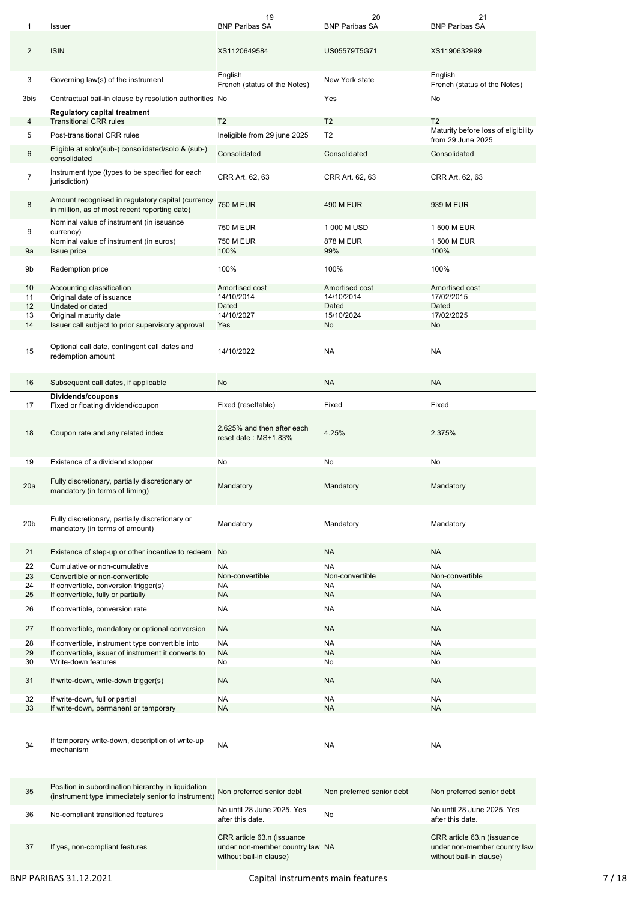| 1               | Issuer                                                                                                                                         | 19<br><b>BNP Paribas SA</b>                        | 20<br><b>BNP Paribas SA</b> | 21<br><b>BNP Paribas SA</b>                    |
|-----------------|------------------------------------------------------------------------------------------------------------------------------------------------|----------------------------------------------------|-----------------------------|------------------------------------------------|
| $\overline{2}$  | <b>ISIN</b>                                                                                                                                    | XS1120649584                                       | US05579T5G71                | XS1190632999                                   |
| 3               | Governing law(s) of the instrument                                                                                                             | English<br>French (status of the Notes)            | New York state              | English<br>French (status of the Notes)        |
| 3bis            | Contractual bail-in clause by resolution authorities No                                                                                        |                                                    | Yes                         | No                                             |
|                 | <b>Regulatory capital treatment</b><br><b>Transitional CRR rules</b>                                                                           | T <sub>2</sub>                                     | T <sub>2</sub>              | T <sub>2</sub>                                 |
| 4<br>5          | Post-transitional CRR rules                                                                                                                    | Ineligible from 29 june 2025                       | T <sub>2</sub>              | Maturity before loss of eligibility            |
|                 | Eligible at solo/(sub-) consolidated/solo & (sub-)                                                                                             |                                                    |                             | from 29 June 2025                              |
| 6               | consolidated                                                                                                                                   | Consolidated                                       | Consolidated                | Consolidated                                   |
| $\overline{7}$  | Instrument type (types to be specified for each<br>jurisdiction)                                                                               | CRR Art. 62, 63                                    | CRR Art. 62, 63             | CRR Art. 62, 63                                |
| 8               | Amount recognised in regulatory capital (currency<br>in million, as of most recent reporting date)<br>Nominal value of instrument (in issuance | <b>750 M EUR</b>                                   | <b>490 M EUR</b>            | 939 M EUR                                      |
| 9               | currency)                                                                                                                                      | <b>750 M EUR</b>                                   | 1 000 M USD                 | 1 500 M EUR                                    |
|                 | Nominal value of instrument (in euros)                                                                                                         | 750 M EUR                                          | 878 M EUR                   | 1 500 M EUR                                    |
| 9а              | Issue price                                                                                                                                    | 100%                                               | 99%                         | 100%                                           |
| 9b              | Redemption price                                                                                                                               | 100%                                               | 100%                        | 100%                                           |
| 10              | Accounting classification                                                                                                                      | Amortised cost                                     | Amortised cost              | Amortised cost                                 |
| 11              | Original date of issuance                                                                                                                      | 14/10/2014                                         | 14/10/2014                  | 17/02/2015                                     |
| 12<br>13        | Undated or dated<br>Original maturity date                                                                                                     | Dated<br>14/10/2027                                | Dated<br>15/10/2024         | Dated<br>17/02/2025                            |
| 14              | Issuer call subject to prior supervisory approval                                                                                              | Yes                                                | No                          | No                                             |
| 15              | Optional call date, contingent call dates and<br>redemption amount                                                                             | 14/10/2022                                         | <b>NA</b>                   | NA                                             |
| 16              | Subsequent call dates, if applicable                                                                                                           | No                                                 | <b>NA</b>                   | <b>NA</b>                                      |
|                 | Dividends/coupons                                                                                                                              |                                                    |                             |                                                |
| 17              | Fixed or floating dividend/coupon                                                                                                              | Fixed (resettable)                                 | Fixed                       | Fixed                                          |
| 18              | Coupon rate and any related index                                                                                                              | 2.625% and then after each<br>reset date: MS+1.83% | 4.25%                       | 2.375%                                         |
| 19              | Existence of a dividend stopper                                                                                                                | No                                                 | No                          | No                                             |
| 20a             | Fully discretionary, partially discretionary or<br>mandatory (in terms of timing)                                                              | Mandatory                                          | Mandatory                   | Mandatory                                      |
| 20 <sub>b</sub> | Fully discretionary, partially discretionary or<br>mandatory (in terms of amount)                                                              | Mandatory                                          | Mandatory                   | Mandatory                                      |
| 21              | Existence of step-up or other incentive to redeem No                                                                                           |                                                    | <b>NA</b>                   | <b>NA</b>                                      |
| 22              | Cumulative or non-cumulative                                                                                                                   | <b>NA</b>                                          | <b>NA</b>                   | <b>NA</b>                                      |
| 23              | Convertible or non-convertible                                                                                                                 | Non-convertible                                    | Non-convertible             | Non-convertible                                |
| 24              | If convertible, conversion trigger(s)                                                                                                          | NA                                                 | NA                          | <b>NA</b>                                      |
| 25              | If convertible, fully or partially                                                                                                             | <b>NA</b>                                          | <b>NA</b>                   | <b>NA</b>                                      |
| 26              | If convertible, conversion rate                                                                                                                | NA                                                 | <b>NA</b>                   | NA                                             |
| 27              | If convertible, mandatory or optional conversion                                                                                               | <b>NA</b>                                          | <b>NA</b>                   | <b>NA</b>                                      |
| 28              | If convertible, instrument type convertible into                                                                                               | <b>NA</b>                                          | <b>NA</b>                   | <b>NA</b>                                      |
| 29<br>30        | If convertible, issuer of instrument it converts to<br>Write-down features                                                                     | <b>NA</b><br>No                                    | <b>NA</b><br>No             | <b>NA</b><br>No                                |
| 31              | If write-down, write-down trigger(s)                                                                                                           | <b>NA</b>                                          | <b>NA</b>                   | <b>NA</b>                                      |
| 32              | If write-down, full or partial                                                                                                                 | NA                                                 | NA                          | NA.                                            |
| 33              | If write-down, permanent or temporary                                                                                                          | <b>NA</b>                                          | <b>NA</b>                   | <b>NA</b>                                      |
| 34              | If temporary write-down, description of write-up<br>mechanism                                                                                  | <b>NA</b>                                          | NA                          | <b>NA</b>                                      |
| 35              | Position in subordination hierarchy in liquidation<br>(instrument type immediately senior to instrument)                                       | Non preferred senior debt                          | Non preferred senior debt   | Non preferred senior debt                      |
| 36              | No-compliant transitioned features                                                                                                             | No until 28 June 2025. Yes<br>after this date.     | No                          | No until 28 June 2025. Yes<br>after this date. |
|                 |                                                                                                                                                |                                                    |                             |                                                |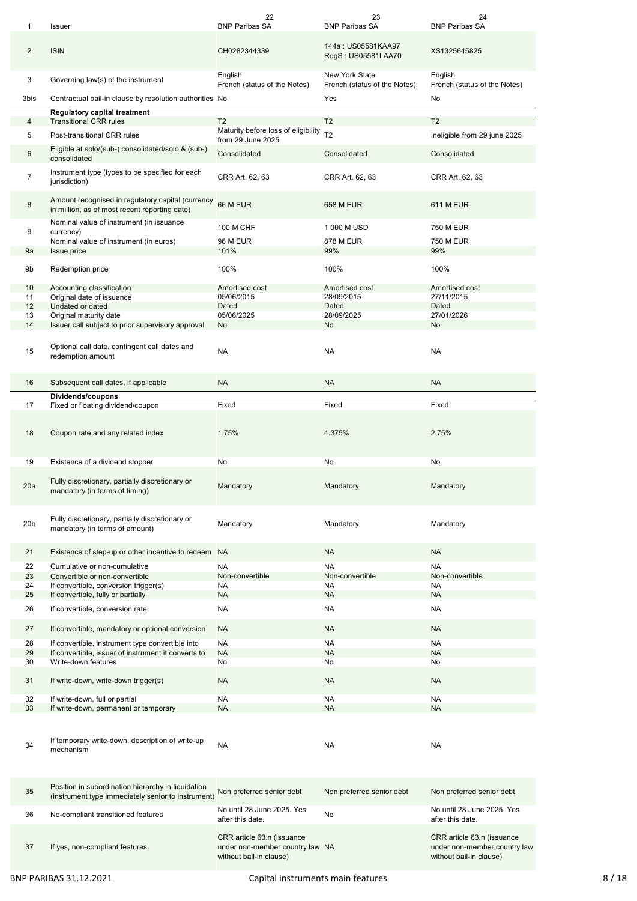| 1               | Issuer                                                                                                   | 22<br><b>BNP Paribas SA</b>                                                              | 23<br><b>BNP Paribas SA</b>                           | 24<br><b>BNP Paribas SA</b>                                                           |
|-----------------|----------------------------------------------------------------------------------------------------------|------------------------------------------------------------------------------------------|-------------------------------------------------------|---------------------------------------------------------------------------------------|
| 2               | <b>ISIN</b>                                                                                              | CH0282344339                                                                             | 144a: US05581KAA97<br>RegS: US05581LAA70              | XS1325645825                                                                          |
| 3               | Governing law(s) of the instrument                                                                       | English<br>French (status of the Notes)                                                  | <b>New York State</b><br>French (status of the Notes) | English<br>French (status of the Notes)                                               |
| 3bis            | Contractual bail-in clause by resolution authorities No                                                  |                                                                                          | Yes                                                   | No                                                                                    |
| 4               | <b>Regulatory capital treatment</b><br><b>Transitional CRR rules</b>                                     | T <sub>2</sub>                                                                           | T <sub>2</sub>                                        | T <sub>2</sub>                                                                        |
| 5               | Post-transitional CRR rules                                                                              | Maturity before loss of eligibility                                                      | T <sub>2</sub>                                        | Ineligible from 29 june 2025                                                          |
|                 |                                                                                                          | from 29 June 2025                                                                        |                                                       |                                                                                       |
| 6               | Eligible at solo/(sub-) consolidated/solo & (sub-)<br>consolidated                                       | Consolidated                                                                             | Consolidated                                          | Consolidated                                                                          |
| $\overline{7}$  | Instrument type (types to be specified for each<br>jurisdiction)                                         | CRR Art. 62, 63                                                                          | CRR Art. 62, 63                                       | CRR Art. 62, 63                                                                       |
| 8               | Amount recognised in regulatory capital (currency<br>in million, as of most recent reporting date)       | 66 M EUR                                                                                 | <b>658 M EUR</b>                                      | <b>611 M EUR</b>                                                                      |
| 9               | Nominal value of instrument (in issuance<br>currency)                                                    | 100 M CHF                                                                                | 1 000 M USD                                           | <b>750 M EUR</b>                                                                      |
|                 | Nominal value of instrument (in euros)                                                                   | <b>96 M EUR</b>                                                                          | <b>878 M EUR</b>                                      | 750 M EUR                                                                             |
| 9a              | <b>Issue price</b>                                                                                       | 101%                                                                                     | 99%                                                   | 99%                                                                                   |
| 9b              | Redemption price                                                                                         | 100%                                                                                     | 100%                                                  | 100%                                                                                  |
| 10              | Accounting classification                                                                                | Amortised cost                                                                           | Amortised cost                                        | Amortised cost                                                                        |
| 11              | Original date of issuance                                                                                | 05/06/2015                                                                               | 28/09/2015                                            | 27/11/2015                                                                            |
| 12              | Undated or dated                                                                                         | Dated                                                                                    | Dated                                                 | Dated                                                                                 |
| 13              | Original maturity date                                                                                   | 05/06/2025                                                                               | 28/09/2025                                            | 27/01/2026                                                                            |
| 14              | Issuer call subject to prior supervisory approval                                                        | No                                                                                       | No                                                    | No                                                                                    |
| 15              | Optional call date, contingent call dates and<br>redemption amount                                       | <b>NA</b>                                                                                | <b>NA</b>                                             | <b>NA</b>                                                                             |
| 16              | Subsequent call dates, if applicable                                                                     | <b>NA</b>                                                                                | <b>NA</b>                                             | <b>NA</b>                                                                             |
|                 | Dividends/coupons                                                                                        |                                                                                          |                                                       |                                                                                       |
| 17              | Fixed or floating dividend/coupon                                                                        | Fixed                                                                                    | Fixed                                                 | Fixed                                                                                 |
| 18              | Coupon rate and any related index                                                                        | 1.75%                                                                                    | 4.375%                                                | 2.75%                                                                                 |
| 19              | Existence of a dividend stopper                                                                          | No                                                                                       | No                                                    | No                                                                                    |
| 20a             | Fully discretionary, partially discretionary or<br>mandatory (in terms of timing)                        | Mandatory                                                                                | Mandatory                                             | Mandatory                                                                             |
| 20 <sub>b</sub> | Fully discretionary, partially discretionary or<br>mandatory (in terms of amount)                        | Mandatory                                                                                | Mandatory                                             | Mandatory                                                                             |
| 21              | Existence of step-up or other incentive to redeem NA                                                     |                                                                                          | <b>NA</b>                                             | <b>NA</b>                                                                             |
| 22              | Cumulative or non-cumulative                                                                             | <b>NA</b>                                                                                | <b>NA</b>                                             | <b>NA</b>                                                                             |
| 23              | Convertible or non-convertible                                                                           | Non-convertible                                                                          | Non-convertible                                       | Non-convertible                                                                       |
| 24              | If convertible, conversion trigger(s)                                                                    | <b>NA</b>                                                                                | <b>NA</b>                                             | <b>NA</b>                                                                             |
| 25              | If convertible, fully or partially                                                                       | <b>NA</b>                                                                                | <b>NA</b>                                             | <b>NA</b>                                                                             |
| 26              | If convertible, conversion rate                                                                          | NA                                                                                       | NA                                                    | <b>NA</b>                                                                             |
| 27              | If convertible, mandatory or optional conversion                                                         | <b>NA</b>                                                                                | <b>NA</b>                                             | <b>NA</b>                                                                             |
| 28              | If convertible, instrument type convertible into                                                         | <b>NA</b>                                                                                | <b>NA</b>                                             | <b>NA</b>                                                                             |
| 29              | If convertible, issuer of instrument it converts to                                                      | <b>NA</b>                                                                                | <b>NA</b>                                             | <b>NA</b>                                                                             |
| 30              | Write-down features                                                                                      | No                                                                                       | No                                                    | No                                                                                    |
| 31              | If write-down, write-down trigger(s)                                                                     | <b>NA</b>                                                                                | <b>NA</b>                                             | <b>NA</b>                                                                             |
| 32<br>33        | If write-down, full or partial<br>If write-down, permanent or temporary                                  | NA<br><b>NA</b>                                                                          | NA<br><b>NA</b>                                       | <b>NA</b><br><b>NA</b>                                                                |
|                 |                                                                                                          |                                                                                          |                                                       |                                                                                       |
| 34              | If temporary write-down, description of write-up<br>mechanism                                            | NA                                                                                       | NA                                                    | <b>NA</b>                                                                             |
| 35              | Position in subordination hierarchy in liquidation<br>(instrument type immediately senior to instrument) | Non preferred senior debt                                                                | Non preferred senior debt                             | Non preferred senior debt                                                             |
| 36              | No-compliant transitioned features                                                                       | No until 28 June 2025. Yes<br>after this date.                                           | No                                                    | No until 28 June 2025. Yes<br>after this date.                                        |
| 37              | If yes, non-compliant features                                                                           | CRR article 63.n (issuance<br>under non-member country law NA<br>without bail-in clause) |                                                       | CRR article 63.n (issuance<br>under non-member country law<br>without bail-in clause) |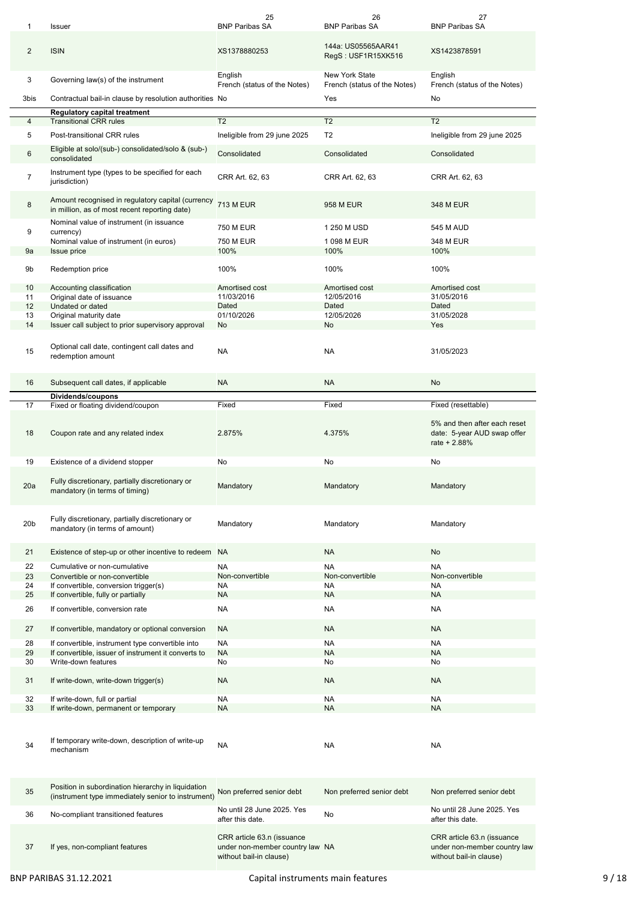| 1                   | Issuer                                                                                                   | 25<br><b>BNP Paribas SA</b>                                                              | 26<br><b>BNP Paribas SA</b>                           | 27<br><b>BNP Paribas SA</b>                                                           |
|---------------------|----------------------------------------------------------------------------------------------------------|------------------------------------------------------------------------------------------|-------------------------------------------------------|---------------------------------------------------------------------------------------|
| $\overline{2}$      | <b>ISIN</b>                                                                                              | XS1378880253                                                                             | 144a: US05565AAR41<br>RegS: USF1R15XK516              | XS1423878591                                                                          |
| 3                   | Governing law(s) of the instrument                                                                       | English<br>French (status of the Notes)                                                  | <b>New York State</b><br>French (status of the Notes) | English<br>French (status of the Notes)                                               |
| 3bis                | Contractual bail-in clause by resolution authorities No                                                  |                                                                                          | Yes                                                   | No                                                                                    |
| 4                   | <b>Regulatory capital treatment</b><br><b>Transitional CRR rules</b>                                     | T <sub>2</sub>                                                                           | T <sub>2</sub>                                        | T <sub>2</sub>                                                                        |
| 5                   | Post-transitional CRR rules                                                                              | Ineligible from 29 june 2025                                                             | T <sub>2</sub>                                        | Ineligible from 29 june 2025                                                          |
|                     | Eligible at solo/(sub-) consolidated/solo & (sub-)                                                       |                                                                                          |                                                       |                                                                                       |
| 6<br>$\overline{7}$ | consolidated<br>Instrument type (types to be specified for each                                          | Consolidated                                                                             | Consolidated                                          | Consolidated                                                                          |
|                     | jurisdiction)<br>Amount recognised in regulatory capital (currency                                       | CRR Art. 62, 63                                                                          | CRR Art. 62, 63                                       | CRR Art. 62, 63                                                                       |
| 8                   | in million, as of most recent reporting date)<br>Nominal value of instrument (in issuance                | <b>713 M EUR</b>                                                                         | 958 M EUR                                             | 348 M EUR                                                                             |
| 9                   | currency)                                                                                                | <b>750 M EUR</b>                                                                         | 1 250 M USD                                           | 545 M AUD                                                                             |
|                     | Nominal value of instrument (in euros)                                                                   | 750 M EUR                                                                                | 1 098 M EUR                                           | 348 M EUR                                                                             |
| 9a                  | <b>Issue price</b>                                                                                       | 100%                                                                                     | 100%                                                  | 100%                                                                                  |
| 9b                  | Redemption price                                                                                         | 100%                                                                                     | 100%                                                  | 100%                                                                                  |
| 10<br>11            | Accounting classification                                                                                | Amortised cost<br>11/03/2016                                                             | Amortised cost<br>12/05/2016                          | Amortised cost<br>31/05/2016                                                          |
| 12                  | Original date of issuance<br>Undated or dated                                                            | Dated                                                                                    | Dated                                                 | Dated                                                                                 |
| 13                  | Original maturity date                                                                                   | 01/10/2026                                                                               | 12/05/2026                                            | 31/05/2028                                                                            |
| 14                  | Issuer call subject to prior supervisory approval                                                        | No                                                                                       | No                                                    | Yes                                                                                   |
| 15                  | Optional call date, contingent call dates and<br>redemption amount                                       | <b>NA</b>                                                                                | <b>NA</b>                                             | 31/05/2023                                                                            |
| 16                  | Subsequent call dates, if applicable                                                                     | <b>NA</b>                                                                                | <b>NA</b>                                             | No                                                                                    |
| 17                  | Dividends/coupons<br>Fixed or floating dividend/coupon                                                   | Fixed                                                                                    | Fixed                                                 | Fixed (resettable)                                                                    |
|                     |                                                                                                          |                                                                                          |                                                       |                                                                                       |
| 18                  | Coupon rate and any related index                                                                        | 2.875%                                                                                   | 4.375%                                                | 5% and then after each reset<br>date: 5-year AUD swap offer<br>rate + 2.88%           |
| 19                  | Existence of a dividend stopper                                                                          | No                                                                                       | No                                                    | No                                                                                    |
| 20a                 | Fully discretionary, partially discretionary or<br>mandatory (in terms of timing)                        | Mandatory                                                                                | Mandatory                                             | Mandatory                                                                             |
| 20 <sub>b</sub>     | Fully discretionary, partially discretionary or<br>mandatory (in terms of amount)                        | Mandatory                                                                                | Mandatory                                             | Mandatory                                                                             |
| 21                  | Existence of step-up or other incentive to redeem NA                                                     |                                                                                          | <b>NA</b>                                             | No                                                                                    |
| 22                  | Cumulative or non-cumulative                                                                             | <b>NA</b>                                                                                | <b>NA</b>                                             | <b>NA</b>                                                                             |
| 23                  | Convertible or non-convertible                                                                           | Non-convertible                                                                          | Non-convertible                                       | Non-convertible                                                                       |
| 24                  | If convertible, conversion trigger(s)                                                                    | <b>NA</b>                                                                                | <b>NA</b>                                             | <b>NA</b>                                                                             |
| 25                  | If convertible, fully or partially                                                                       | <b>NA</b>                                                                                | <b>NA</b>                                             | <b>NA</b>                                                                             |
| 26                  | If convertible, conversion rate                                                                          | NA                                                                                       | NA                                                    | <b>NA</b>                                                                             |
| 27                  | If convertible, mandatory or optional conversion                                                         | <b>NA</b>                                                                                | <b>NA</b>                                             | <b>NA</b>                                                                             |
| 28                  | If convertible, instrument type convertible into                                                         | <b>NA</b>                                                                                | <b>NA</b>                                             | <b>NA</b>                                                                             |
| 29                  | If convertible, issuer of instrument it converts to                                                      | <b>NA</b>                                                                                | <b>NA</b>                                             | <b>NA</b>                                                                             |
| 30                  | Write-down features                                                                                      | No                                                                                       | No                                                    | No                                                                                    |
| 31                  | If write-down, write-down trigger(s)                                                                     | <b>NA</b>                                                                                | <b>NA</b>                                             | <b>NA</b>                                                                             |
| 32<br>33            | If write-down, full or partial<br>If write-down, permanent or temporary                                  | NA<br><b>NA</b>                                                                          | NA<br><b>NA</b>                                       | <b>NA</b><br><b>NA</b>                                                                |
|                     |                                                                                                          |                                                                                          |                                                       |                                                                                       |
| 34                  | If temporary write-down, description of write-up<br>mechanism                                            | NA                                                                                       | NA                                                    | <b>NA</b>                                                                             |
| 35                  | Position in subordination hierarchy in liquidation<br>(instrument type immediately senior to instrument) | Non preferred senior debt                                                                | Non preferred senior debt                             | Non preferred senior debt                                                             |
| 36                  | No-compliant transitioned features                                                                       | No until 28 June 2025. Yes<br>after this date.                                           | No                                                    | No until 28 June 2025. Yes<br>after this date.                                        |
| 37                  | If yes, non-compliant features                                                                           | CRR article 63.n (issuance<br>under non-member country law NA<br>without bail-in clause) |                                                       | CRR article 63.n (issuance<br>under non-member country law<br>without bail-in clause) |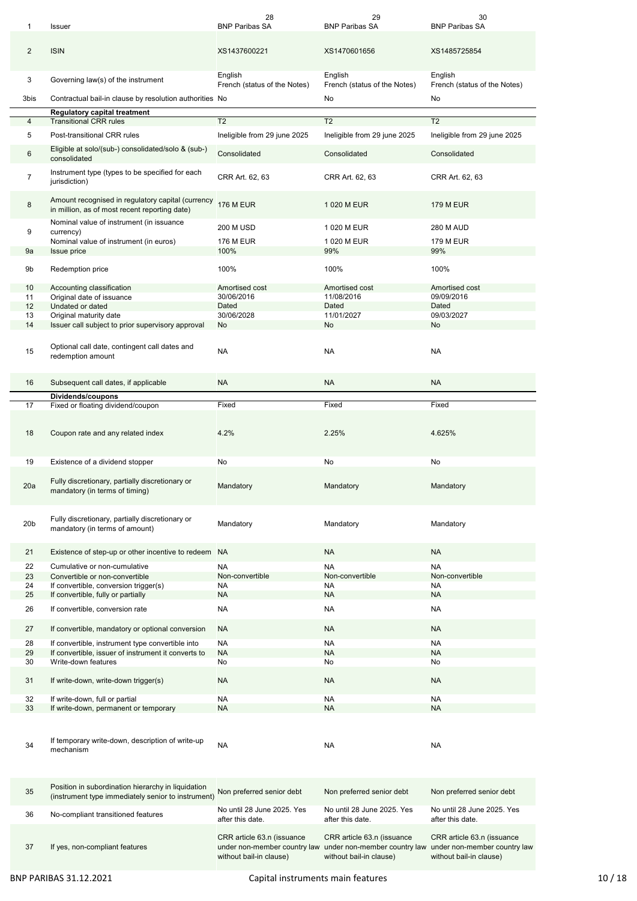| 1               | Issuer                                                                                                   | 28<br><b>BNP Paribas SA</b>                                                           | 29<br><b>BNP Paribas SA</b>                                                           | 30<br><b>BNP Paribas SA</b>                                                           |
|-----------------|----------------------------------------------------------------------------------------------------------|---------------------------------------------------------------------------------------|---------------------------------------------------------------------------------------|---------------------------------------------------------------------------------------|
| 2               | <b>ISIN</b>                                                                                              | XS1437600221                                                                          | XS1470601656                                                                          | XS1485725854                                                                          |
| 3               | Governing law(s) of the instrument                                                                       | English<br>French (status of the Notes)                                               | English<br>French (status of the Notes)                                               | English<br>French (status of the Notes)                                               |
| 3bis            | Contractual bail-in clause by resolution authorities No                                                  |                                                                                       | No                                                                                    | No                                                                                    |
| 4               | <b>Regulatory capital treatment</b><br><b>Transitional CRR rules</b>                                     | T2                                                                                    | T2                                                                                    | T <sub>2</sub>                                                                        |
| 5               | Post-transitional CRR rules                                                                              | Ineligible from 29 june 2025                                                          | Ineligible from 29 june 2025                                                          | Ineligible from 29 june 2025                                                          |
|                 |                                                                                                          |                                                                                       |                                                                                       |                                                                                       |
| 6               | Eligible at solo/(sub-) consolidated/solo & (sub-)<br>consolidated                                       | Consolidated                                                                          | Consolidated                                                                          | Consolidated                                                                          |
| $\overline{7}$  | Instrument type (types to be specified for each<br>jurisdiction)                                         | CRR Art. 62, 63                                                                       | CRR Art. 62, 63                                                                       | CRR Art. 62, 63                                                                       |
| 8               | Amount recognised in regulatory capital (currency<br>in million, as of most recent reporting date)       | <b>176 M EUR</b>                                                                      | 1 020 M EUR                                                                           | <b>179 M EUR</b>                                                                      |
| 9               | Nominal value of instrument (in issuance<br>currency)                                                    | <b>200 M USD</b>                                                                      | 1 020 M EUR                                                                           | <b>280 M AUD</b>                                                                      |
|                 | Nominal value of instrument (in euros)                                                                   | <b>176 M EUR</b>                                                                      | 1 020 M EUR                                                                           | 179 M EUR                                                                             |
| 9а              | <b>Issue price</b>                                                                                       | 100%                                                                                  | 99%                                                                                   | 99%                                                                                   |
| 9b              | Redemption price                                                                                         | 100%                                                                                  | 100%                                                                                  | 100%                                                                                  |
| 10 <sup>1</sup> | Accounting classification                                                                                | Amortised cost                                                                        | Amortised cost                                                                        | Amortised cost                                                                        |
| 11              | Original date of issuance                                                                                | 30/06/2016                                                                            | 11/08/2016                                                                            | 09/09/2016                                                                            |
| 12              | Undated or dated                                                                                         | Dated                                                                                 | Dated                                                                                 | Dated                                                                                 |
| 13              | Original maturity date                                                                                   | 30/06/2028                                                                            | 11/01/2027                                                                            | 09/03/2027                                                                            |
| 14              | Issuer call subject to prior supervisory approval                                                        | No                                                                                    | No                                                                                    | No                                                                                    |
| 15              | Optional call date, contingent call dates and<br>redemption amount                                       | <b>NA</b>                                                                             | <b>NA</b>                                                                             | NA                                                                                    |
| 16              | Subsequent call dates, if applicable                                                                     | <b>NA</b>                                                                             | <b>NA</b>                                                                             | <b>NA</b>                                                                             |
| 17              | Dividends/coupons<br>Fixed or floating dividend/coupon                                                   | Fixed                                                                                 | Fixed                                                                                 | Fixed                                                                                 |
|                 |                                                                                                          |                                                                                       |                                                                                       |                                                                                       |
| 18              | Coupon rate and any related index                                                                        | 4.2%                                                                                  | 2.25%                                                                                 | 4.625%                                                                                |
| 19              | Existence of a dividend stopper                                                                          | No                                                                                    | No                                                                                    | No                                                                                    |
| 20a             | Fully discretionary, partially discretionary or<br>mandatory (in terms of timing)                        | Mandatory                                                                             | Mandatory                                                                             | Mandatory                                                                             |
| 20 <sub>b</sub> | Fully discretionary, partially discretionary or<br>mandatory (in terms of amount)                        | Mandatory                                                                             | Mandatory                                                                             | Mandatory                                                                             |
| 21              | Existence of step-up or other incentive to redeem NA                                                     |                                                                                       | <b>NA</b>                                                                             | <b>NA</b>                                                                             |
| 22              | Cumulative or non-cumulative                                                                             | <b>NA</b>                                                                             | <b>NA</b>                                                                             | <b>NA</b>                                                                             |
| 23              | Convertible or non-convertible                                                                           | Non-convertible                                                                       | Non-convertible                                                                       | Non-convertible                                                                       |
| 24              | If convertible, conversion trigger(s)<br>If convertible, fully or partially                              | NA                                                                                    | <b>NA</b>                                                                             | <b>NA</b>                                                                             |
| 25              |                                                                                                          | <b>NA</b>                                                                             | <b>NA</b>                                                                             | <b>NA</b>                                                                             |
| 26              | If convertible, conversion rate                                                                          | NA                                                                                    | NA                                                                                    | NA                                                                                    |
| 27              | If convertible, mandatory or optional conversion                                                         | <b>NA</b>                                                                             | <b>NA</b>                                                                             | <b>NA</b>                                                                             |
| 28              | If convertible, instrument type convertible into                                                         | <b>NA</b>                                                                             | <b>NA</b>                                                                             | <b>NA</b>                                                                             |
| 29              | If convertible, issuer of instrument it converts to                                                      | <b>NA</b>                                                                             | <b>NA</b>                                                                             | <b>NA</b>                                                                             |
| 30<br>31        | Write-down features<br>If write-down, write-down trigger(s)                                              | No<br><b>NA</b>                                                                       | No<br><b>NA</b>                                                                       | No<br><b>NA</b>                                                                       |
| 32              | If write-down, full or partial                                                                           | NA                                                                                    | NA                                                                                    | NA                                                                                    |
| 33              | If write-down, permanent or temporary                                                                    | <b>NA</b>                                                                             | <b>NA</b>                                                                             | <b>NA</b>                                                                             |
| 34              | If temporary write-down, description of write-up<br>mechanism                                            | NA                                                                                    | <b>NA</b>                                                                             | <b>NA</b>                                                                             |
| 35              | Position in subordination hierarchy in liquidation<br>(instrument type immediately senior to instrument) | Non preferred senior debt                                                             | Non preferred senior debt                                                             | Non preferred senior debt                                                             |
| 36              | No-compliant transitioned features                                                                       | No until 28 June 2025. Yes<br>after this date.                                        | No until 28 June 2025. Yes<br>after this date.                                        | No until 28 June 2025. Yes<br>after this date.                                        |
| 37              | If yes, non-compliant features                                                                           | CRR article 63.n (issuance<br>under non-member country law<br>without bail-in clause) | CRR article 63.n (issuance<br>under non-member country law<br>without bail-in clause) | CRR article 63.n (issuance<br>under non-member country law<br>without bail-in clause) |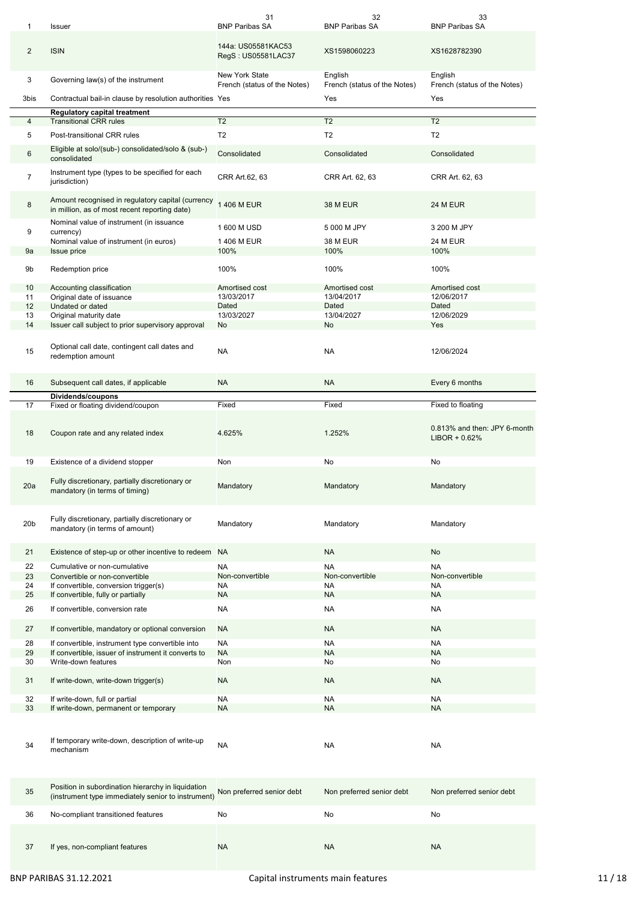| 1               | Issuer                                                                                                                                         | 31<br><b>BNP Paribas SA</b>                           | 32<br><b>BNP Paribas SA</b>             | 33<br><b>BNP Paribas SA</b>                     |
|-----------------|------------------------------------------------------------------------------------------------------------------------------------------------|-------------------------------------------------------|-----------------------------------------|-------------------------------------------------|
| 2               | <b>ISIN</b>                                                                                                                                    | 144a: US05581KAC53<br>RegS: US05581LAC37              | XS1598060223                            | XS1628782390                                    |
| 3               | Governing law(s) of the instrument                                                                                                             | <b>New York State</b><br>French (status of the Notes) | English<br>French (status of the Notes) | English<br>French (status of the Notes)         |
| 3bis            | Contractual bail-in clause by resolution authorities Yes                                                                                       |                                                       | Yes                                     | Yes                                             |
| 4               | <b>Regulatory capital treatment</b><br><b>Transitional CRR rules</b>                                                                           | $\overline{12}$                                       | T2                                      | T <sub>2</sub>                                  |
|                 |                                                                                                                                                | T <sub>2</sub>                                        | T <sub>2</sub>                          |                                                 |
| 5               | Post-transitional CRR rules                                                                                                                    |                                                       |                                         | T <sub>2</sub>                                  |
| 6               | Eligible at solo/(sub-) consolidated/solo & (sub-)<br>consolidated                                                                             | Consolidated                                          | Consolidated                            | Consolidated                                    |
| $\overline{7}$  | Instrument type (types to be specified for each<br>jurisdiction)                                                                               | CRR Art.62, 63                                        | CRR Art. 62, 63                         | CRR Art. 62, 63                                 |
| 8               | Amount recognised in regulatory capital (currency<br>in million, as of most recent reporting date)<br>Nominal value of instrument (in issuance | 1 406 M EUR                                           | <b>38 M EUR</b>                         | <b>24 M EUR</b>                                 |
| 9               | currency)                                                                                                                                      | 1 600 M USD                                           | 5 000 M JPY                             | 3 200 M JPY                                     |
|                 | Nominal value of instrument (in euros)                                                                                                         | 1 406 M EUR                                           | <b>38 M EUR</b>                         | <b>24 M EUR</b>                                 |
| 9a              | Issue price                                                                                                                                    | 100%                                                  | 100%                                    | 100%                                            |
|                 |                                                                                                                                                |                                                       |                                         |                                                 |
| 9b<br>10        | Redemption price<br>Accounting classification                                                                                                  | 100%<br>Amortised cost                                | 100%<br>Amortised cost                  | 100%<br>Amortised cost                          |
| 11              | Original date of issuance                                                                                                                      | 13/03/2017                                            | 13/04/2017                              | 12/06/2017                                      |
| 12              | Undated or dated                                                                                                                               | Dated                                                 | Dated                                   | Dated                                           |
| 13              | Original maturity date                                                                                                                         | 13/03/2027                                            | 13/04/2027                              | 12/06/2029                                      |
| 14              | Issuer call subject to prior supervisory approval                                                                                              | No                                                    | No                                      | Yes                                             |
| 15              | Optional call date, contingent call dates and<br>redemption amount                                                                             | <b>NA</b>                                             | <b>NA</b>                               | 12/06/2024                                      |
| 16              | Subsequent call dates, if applicable                                                                                                           | <b>NA</b>                                             | <b>NA</b>                               | Every 6 months                                  |
|                 | Dividends/coupons                                                                                                                              |                                                       |                                         |                                                 |
| 17              | Fixed or floating dividend/coupon                                                                                                              | Fixed                                                 | Fixed                                   | Fixed to floating                               |
| 18              | Coupon rate and any related index                                                                                                              | 4.625%                                                | 1.252%                                  | 0.813% and then: JPY 6-month<br>$LIBOR + 0.62%$ |
|                 |                                                                                                                                                |                                                       |                                         |                                                 |
| 19              | Existence of a dividend stopper                                                                                                                | Non                                                   | No                                      | No                                              |
| 20a             | Fully discretionary, partially discretionary or<br>mandatory (in terms of timing)                                                              | Mandatory                                             | Mandatory                               | Mandatory                                       |
| 20 <sub>b</sub> | Fully discretionary, partially discretionary or<br>mandatory (in terms of amount)                                                              | Mandatory                                             | Mandatory                               | Mandatory                                       |
| 21              | Existence of step-up or other incentive to redeem NA                                                                                           |                                                       | <b>NA</b>                               | No                                              |
|                 |                                                                                                                                                |                                                       |                                         |                                                 |
| 22              | Cumulative or non-cumulative                                                                                                                   | <b>NA</b>                                             | <b>NA</b>                               | <b>NA</b>                                       |
| 23<br>24        | Convertible or non-convertible                                                                                                                 | Non-convertible<br>NA                                 | Non-convertible<br>NA                   | Non-convertible<br><b>NA</b>                    |
| 25              | If convertible, conversion trigger(s)<br>If convertible, fully or partially                                                                    | <b>NA</b>                                             | <b>NA</b>                               | <b>NA</b>                                       |
| 26              | If convertible, conversion rate                                                                                                                | NA                                                    | NA                                      | <b>NA</b>                                       |
| 27              | If convertible, mandatory or optional conversion                                                                                               | <b>NA</b>                                             | <b>NA</b>                               | <b>NA</b>                                       |
|                 |                                                                                                                                                |                                                       |                                         |                                                 |
| 28              | If convertible, instrument type convertible into                                                                                               | <b>NA</b>                                             | <b>NA</b>                               | <b>NA</b>                                       |
| 29<br>30        | If convertible, issuer of instrument it converts to<br>Write-down features                                                                     | <b>NA</b><br>Non                                      | <b>NA</b><br>No                         | <b>NA</b><br>No                                 |
| 31              | If write-down, write-down trigger(s)                                                                                                           | <b>NA</b>                                             | <b>NA</b>                               | <b>NA</b>                                       |
| 32              | If write-down, full or partial                                                                                                                 | NA                                                    | NA                                      | NA                                              |
| 33              | If write-down, permanent or temporary                                                                                                          | <b>NA</b>                                             | <b>NA</b>                               | <b>NA</b>                                       |
| 34              | If temporary write-down, description of write-up<br>mechanism                                                                                  | <b>NA</b>                                             | NA                                      | <b>NA</b>                                       |
| 35              | Position in subordination hierarchy in liquidation<br>(instrument type immediately senior to instrument)                                       | Non preferred senior debt                             | Non preferred senior debt               | Non preferred senior debt                       |
| 36              | No-compliant transitioned features                                                                                                             | No                                                    | No                                      | No                                              |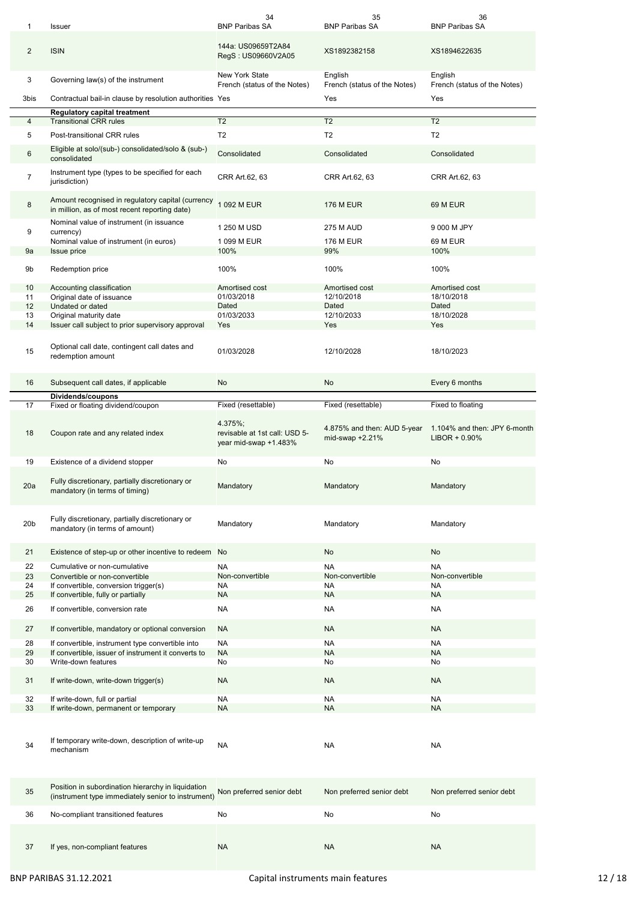| 1               | Issuer                                                                                                   | 34<br><b>BNP Paribas SA</b>                                       | 35<br><b>BNP Paribas SA</b>                      | 36<br><b>BNP Paribas SA</b>                      |
|-----------------|----------------------------------------------------------------------------------------------------------|-------------------------------------------------------------------|--------------------------------------------------|--------------------------------------------------|
| $\overline{2}$  | <b>ISIN</b>                                                                                              | 144a: US09659T2A84<br>RegS: US09660V2A05                          | XS1892382158                                     | XS1894622635                                     |
| 3               | Governing law(s) of the instrument                                                                       | <b>New York State</b><br>French (status of the Notes)             | English<br>French (status of the Notes)          | English<br>French (status of the Notes)          |
| 3bis            | Contractual bail-in clause by resolution authorities Yes                                                 |                                                                   | Yes                                              | Yes                                              |
| 4               | <b>Regulatory capital treatment</b><br><b>Transitional CRR rules</b>                                     | T <sub>2</sub>                                                    | T <sub>2</sub>                                   | T <sub>2</sub>                                   |
| 5               | Post-transitional CRR rules                                                                              | T <sub>2</sub>                                                    | T <sub>2</sub>                                   | T <sub>2</sub>                                   |
|                 | Eligible at solo/(sub-) consolidated/solo & (sub-)                                                       |                                                                   |                                                  |                                                  |
| 6               | consolidated<br>Instrument type (types to be specified for each                                          | Consolidated                                                      | Consolidated                                     | Consolidated                                     |
| $\overline{7}$  | jurisdiction)                                                                                            | CRR Art.62, 63                                                    | CRR Art.62, 63                                   | CRR Art.62, 63                                   |
| 8               | Amount recognised in regulatory capital (currency<br>in million, as of most recent reporting date)       | 1 092 M EUR                                                       | <b>176 M EUR</b>                                 | 69 M EUR                                         |
| 9               | Nominal value of instrument (in issuance<br>currency)                                                    | 1 250 M USD                                                       | <b>275 M AUD</b>                                 | 9 000 M JPY                                      |
|                 | Nominal value of instrument (in euros)                                                                   | 1 099 M EUR                                                       | <b>176 M EUR</b>                                 | 69 M EUR                                         |
| 9a              | <b>Issue price</b>                                                                                       | 100%                                                              | 99%                                              | 100%                                             |
| 9b              | Redemption price                                                                                         | 100%                                                              | 100%                                             | 100%                                             |
| 10              | Accounting classification                                                                                | Amortised cost                                                    | Amortised cost                                   | Amortised cost                                   |
| 11<br>12        | Original date of issuance<br>Undated or dated                                                            | 01/03/2018<br>Dated                                               | 12/10/2018<br>Dated                              | 18/10/2018<br>Dated                              |
| 13              | Original maturity date                                                                                   | 01/03/2033                                                        | 12/10/2033                                       | 18/10/2028                                       |
| 14              | Issuer call subject to prior supervisory approval                                                        | Yes                                                               | Yes                                              | Yes                                              |
| 15              | Optional call date, contingent call dates and<br>redemption amount                                       | 01/03/2028                                                        | 12/10/2028                                       | 18/10/2023                                       |
| 16              | Subsequent call dates, if applicable                                                                     | No                                                                | No                                               | Every 6 months                                   |
| 17              | Dividends/coupons<br>Fixed or floating dividend/coupon                                                   | Fixed (resettable)                                                | Fixed (resettable)                               | Fixed to floating                                |
|                 |                                                                                                          |                                                                   |                                                  |                                                  |
| 18              | Coupon rate and any related index                                                                        | 4.375%;<br>revisable at 1st call: USD 5-<br>year mid-swap +1.483% | 4.875% and then: AUD 5-year<br>mid-swap $+2.21%$ | 1.104% and then: JPY 6-month<br>$LIBOR + 0.90\%$ |
|                 |                                                                                                          |                                                                   |                                                  |                                                  |
| 19              | Existence of a dividend stopper                                                                          | No                                                                | No                                               | No                                               |
| 20a             | Fully discretionary, partially discretionary or<br>mandatory (in terms of timing)                        | Mandatory                                                         | Mandatory                                        | Mandatory                                        |
| 20 <sub>b</sub> | Fully discretionary, partially discretionary or<br>mandatory (in terms of amount)                        | Mandatory                                                         | Mandatory                                        | Mandatory                                        |
| 21              | Existence of step-up or other incentive to redeem No                                                     |                                                                   | No                                               | No                                               |
| 22              | Cumulative or non-cumulative                                                                             | <b>NA</b>                                                         | <b>NA</b>                                        | <b>NA</b>                                        |
| 23              | Convertible or non-convertible                                                                           | Non-convertible                                                   | Non-convertible                                  | Non-convertible                                  |
| 24              | If convertible, conversion trigger(s)                                                                    | NA                                                                | NA                                               | <b>NA</b>                                        |
| 25              | If convertible, fully or partially                                                                       | <b>NA</b>                                                         | <b>NA</b>                                        | <b>NA</b>                                        |
| 26              | If convertible, conversion rate                                                                          | NA                                                                | <b>NA</b>                                        | <b>NA</b>                                        |
| 27              | If convertible, mandatory or optional conversion                                                         | <b>NA</b>                                                         | <b>NA</b>                                        | <b>NA</b>                                        |
| 28              | If convertible, instrument type convertible into                                                         | <b>NA</b>                                                         | <b>NA</b>                                        | <b>NA</b>                                        |
| 29              | If convertible, issuer of instrument it converts to                                                      | <b>NA</b>                                                         | <b>NA</b>                                        | <b>NA</b>                                        |
| 30<br>31        | Write-down features<br>If write-down, write-down trigger(s)                                              | No<br><b>NA</b>                                                   | No<br><b>NA</b>                                  | No<br><b>NA</b>                                  |
|                 |                                                                                                          |                                                                   |                                                  |                                                  |
| 32              | If write-down, full or partial                                                                           | NA                                                                | NA                                               | <b>NA</b>                                        |
| 33              | If write-down, permanent or temporary                                                                    | <b>NA</b>                                                         | <b>NA</b>                                        | <b>NA</b>                                        |
| 34              | If temporary write-down, description of write-up<br>mechanism                                            | NA                                                                | NA                                               | <b>NA</b>                                        |
| 35              | Position in subordination hierarchy in liquidation<br>(instrument type immediately senior to instrument) | Non preferred senior debt                                         | Non preferred senior debt                        | Non preferred senior debt                        |
| 36              | No-compliant transitioned features                                                                       | No                                                                | No                                               | No                                               |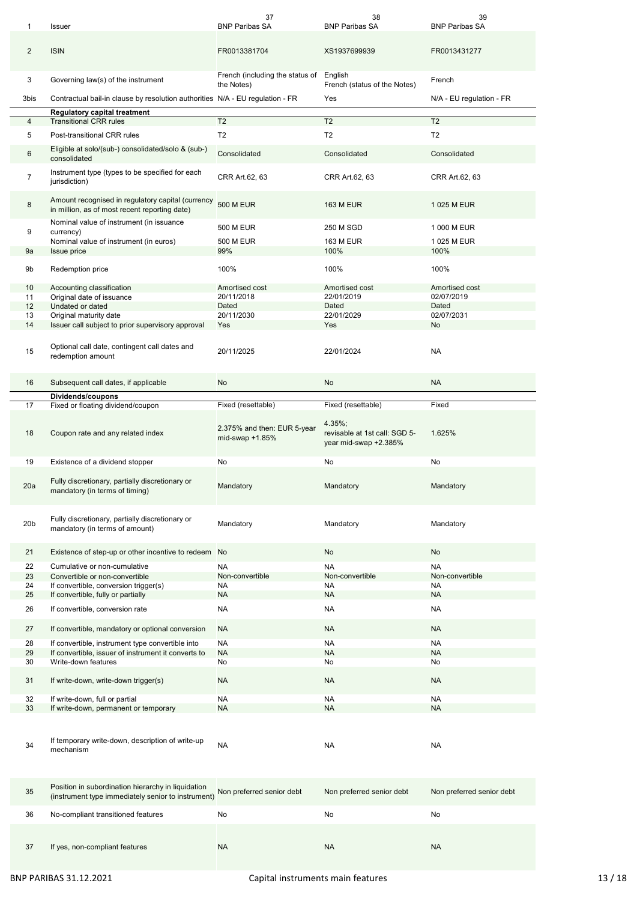| 1               | Issuer                                                                                                   | 37<br><b>BNP Paribas SA</b>                    | 38<br><b>BNP Paribas SA</b>                                      | 39<br><b>BNP Paribas SA</b> |
|-----------------|----------------------------------------------------------------------------------------------------------|------------------------------------------------|------------------------------------------------------------------|-----------------------------|
| 2               | <b>ISIN</b>                                                                                              | FR0013381704                                   | XS1937699939                                                     | FR0013431277                |
| 3               | Governing law(s) of the instrument                                                                       | French (including the status of<br>the Notes)  | English<br>French (status of the Notes)                          | French                      |
| 3bis            | Contractual bail-in clause by resolution authorities N/A - EU regulation - FR                            |                                                | Yes                                                              | N/A - EU regulation - FR    |
|                 | <b>Regulatory capital treatment</b>                                                                      |                                                |                                                                  |                             |
| 4               | <b>Transitional CRR rules</b>                                                                            | T <sub>2</sub>                                 | T <sub>2</sub>                                                   | T <sub>2</sub>              |
| 5               | Post-transitional CRR rules                                                                              | T <sub>2</sub>                                 | T <sub>2</sub>                                                   | T <sub>2</sub>              |
| 6               | Eligible at solo/(sub-) consolidated/solo & (sub-)<br>consolidated                                       | Consolidated                                   | Consolidated                                                     | Consolidated                |
| $\overline{7}$  | Instrument type (types to be specified for each<br>jurisdiction)                                         | CRR Art.62, 63                                 | CRR Art.62, 63                                                   | CRR Art.62, 63              |
| 8               | Amount recognised in regulatory capital (currency<br>in million, as of most recent reporting date)       | <b>500 M EUR</b>                               | <b>163 M EUR</b>                                                 | 1 025 M EUR                 |
| 9               | Nominal value of instrument (in issuance                                                                 | <b>500 M EUR</b>                               | 250 M SGD                                                        | 1 000 M EUR                 |
|                 | currency)<br>Nominal value of instrument (in euros)                                                      | 500 M EUR                                      | <b>163 M EUR</b>                                                 | 1 025 M EUR                 |
| 9a              | <b>Issue price</b>                                                                                       | 99%                                            | 100%                                                             | 100%                        |
| 9b              | Redemption price                                                                                         | 100%                                           | 100%                                                             | 100%                        |
| 10              | Accounting classification                                                                                | Amortised cost                                 | Amortised cost                                                   | Amortised cost              |
| 11              | Original date of issuance                                                                                | 20/11/2018                                     | 22/01/2019                                                       | 02/07/2019                  |
| 12              | Undated or dated                                                                                         | Dated                                          | Dated                                                            | Dated                       |
| 13              | Original maturity date                                                                                   | 20/11/2030                                     | 22/01/2029                                                       | 02/07/2031                  |
| 14              | Issuer call subject to prior supervisory approval                                                        | Yes                                            | Yes                                                              | No                          |
| 15              | Optional call date, contingent call dates and<br>redemption amount                                       | 20/11/2025                                     | 22/01/2024                                                       | <b>NA</b>                   |
| 16              | Subsequent call dates, if applicable                                                                     | No                                             | No                                                               | <b>NA</b>                   |
|                 | Dividends/coupons                                                                                        |                                                | Fixed (resettable)                                               | Fixed                       |
| 17              | Fixed or floating dividend/coupon                                                                        | Fixed (resettable)                             |                                                                  |                             |
| 18              | Coupon rate and any related index                                                                        | 2.375% and then: EUR 5-year<br>mid-swap +1.85% | 4.35%:<br>revisable at 1st call: SGD 5-<br>year mid-swap +2.385% | 1.625%                      |
| 19              | Existence of a dividend stopper                                                                          | No                                             | No                                                               | No                          |
|                 |                                                                                                          |                                                |                                                                  |                             |
| 20a             | Fully discretionary, partially discretionary or<br>mandatory (in terms of timing)                        | Mandatory                                      | Mandatory                                                        | Mandatory                   |
| 20 <sub>b</sub> | Fully discretionary, partially discretionary or<br>mandatory (in terms of amount)                        | Mandatory                                      | Mandatory                                                        | Mandatory                   |
| 21              | Existence of step-up or other incentive to redeem No                                                     |                                                | No                                                               | No                          |
| 22              | Cumulative or non-cumulative                                                                             | <b>NA</b>                                      | <b>NA</b>                                                        | <b>NA</b>                   |
| 23              | Convertible or non-convertible                                                                           | Non-convertible                                | Non-convertible                                                  | Non-convertible             |
| 24              | If convertible, conversion trigger(s)                                                                    | NA                                             | NA                                                               | <b>NA</b>                   |
| 25              | If convertible, fully or partially                                                                       | <b>NA</b>                                      | <b>NA</b>                                                        | <b>NA</b>                   |
| 26              | If convertible, conversion rate                                                                          | NA                                             | <b>NA</b>                                                        | <b>NA</b>                   |
| 27              | If convertible, mandatory or optional conversion                                                         | <b>NA</b>                                      | <b>NA</b>                                                        | <b>NA</b>                   |
| 28              | If convertible, instrument type convertible into                                                         | <b>NA</b>                                      | <b>NA</b>                                                        | <b>NA</b>                   |
| 29              | If convertible, issuer of instrument it converts to                                                      | <b>NA</b>                                      | <b>NA</b>                                                        | <b>NA</b>                   |
| 30              | Write-down features                                                                                      | No                                             | No                                                               | No                          |
| 31              | If write-down, write-down trigger(s)                                                                     | <b>NA</b>                                      | <b>NA</b>                                                        | <b>NA</b>                   |
| 32              | If write-down, full or partial                                                                           | NA                                             | NA                                                               | <b>NA</b>                   |
| 33              | If write-down, permanent or temporary                                                                    | <b>NA</b>                                      | <b>NA</b>                                                        | <b>NA</b>                   |
|                 |                                                                                                          |                                                |                                                                  |                             |
| 34              | If temporary write-down, description of write-up<br>mechanism                                            | NA                                             | NA                                                               | <b>NA</b>                   |
| 35              | Position in subordination hierarchy in liquidation<br>(instrument type immediately senior to instrument) | Non preferred senior debt                      | Non preferred senior debt                                        | Non preferred senior debt   |
| 36              | No-compliant transitioned features                                                                       | No                                             | No                                                               | No                          |
| 37              | If yes, non-compliant features                                                                           | <b>NA</b>                                      | <b>NA</b>                                                        | <b>NA</b>                   |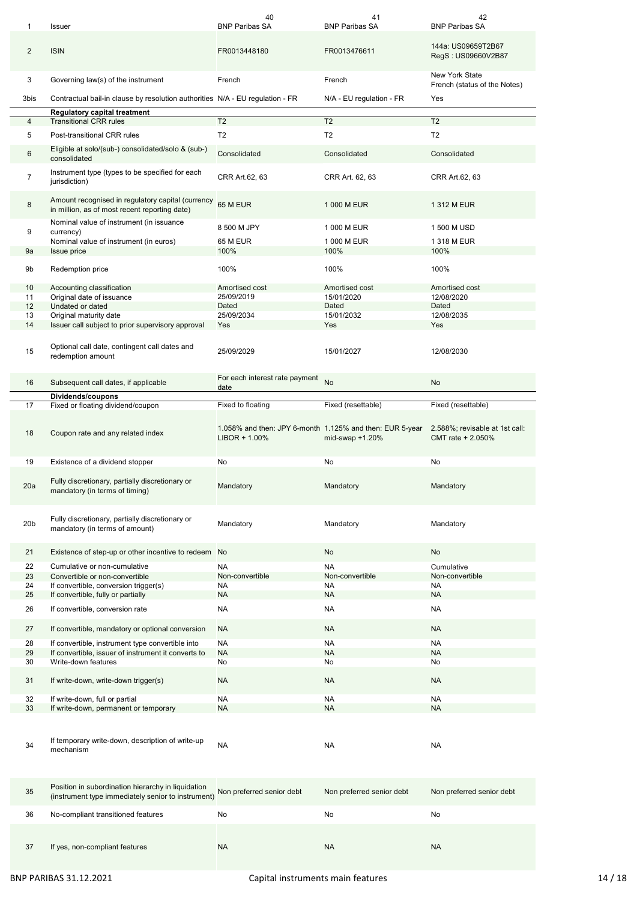| 1               | <b>Issuer</b>                                                                                            | 40<br><b>BNP Paribas SA</b>                              | 41<br><b>BNP Paribas SA</b> | 42<br><b>BNP Paribas SA</b>                           |
|-----------------|----------------------------------------------------------------------------------------------------------|----------------------------------------------------------|-----------------------------|-------------------------------------------------------|
| $\overline{2}$  | <b>ISIN</b>                                                                                              | FR0013448180                                             | FR0013476611                | 144a: US09659T2B67<br>RegS: US09660V2B87              |
| 3               | Governing law(s) of the instrument                                                                       | French                                                   | French                      | <b>New York State</b><br>French (status of the Notes) |
| 3bis            | Contractual bail-in clause by resolution authorities N/A - EU regulation - FR                            |                                                          | N/A - EU regulation - FR    | Yes                                                   |
| 4               | Regulatory capital treatment<br><b>Transitional CRR rules</b>                                            | $\overline{12}$                                          | T <sub>2</sub>              | T <sub>2</sub>                                        |
| 5               | Post-transitional CRR rules                                                                              | T <sub>2</sub>                                           | T <sub>2</sub>              | T <sub>2</sub>                                        |
|                 | Eligible at solo/(sub-) consolidated/solo & (sub-)                                                       |                                                          |                             |                                                       |
| 6               | consolidated                                                                                             | Consolidated                                             | Consolidated                | Consolidated                                          |
| $\overline{7}$  | Instrument type (types to be specified for each<br>jurisdiction)                                         | CRR Art.62, 63                                           | CRR Art. 62, 63             | CRR Art.62, 63                                        |
| 8               | Amount recognised in regulatory capital (currency<br>in million, as of most recent reporting date)       | 65 M EUR                                                 | 1 000 M EUR                 | 1 312 M EUR                                           |
| 9               | Nominal value of instrument (in issuance<br>currency)                                                    | 8 500 M JPY                                              | 1 000 M EUR                 | 1 500 M USD                                           |
|                 | Nominal value of instrument (in euros)                                                                   | 65 M EUR                                                 | 1 000 M EUR                 | 1 318 M EUR                                           |
| 9a              | Issue price                                                                                              | 100%                                                     | 100%                        | 100%                                                  |
|                 |                                                                                                          |                                                          |                             |                                                       |
| 9b              | Redemption price                                                                                         | 100%                                                     | 100%                        | 100%                                                  |
| 10              | Accounting classification                                                                                | Amortised cost                                           | Amortised cost              | Amortised cost                                        |
| 11<br>12        | Original date of issuance<br>Undated or dated                                                            | 25/09/2019<br>Dated                                      | 15/01/2020<br>Dated         | 12/08/2020<br>Dated                                   |
| 13              | Original maturity date                                                                                   | 25/09/2034                                               | 15/01/2032                  | 12/08/2035                                            |
| 14              | Issuer call subject to prior supervisory approval                                                        | Yes                                                      | Yes                         | Yes                                                   |
| 15              | Optional call date, contingent call dates and<br>redemption amount                                       | 25/09/2029                                               | 15/01/2027                  | 12/08/2030                                            |
| 16              | Subsequent call dates, if applicable                                                                     | For each interest rate payment<br>date                   | No                          | No                                                    |
|                 | Dividends/coupons                                                                                        |                                                          |                             |                                                       |
| 17              | Fixed or floating dividend/coupon                                                                        | Fixed to floating                                        | Fixed (resettable)          | Fixed (resettable)                                    |
| 18              | Coupon rate and any related index                                                                        | 1.058% and then: JPY 6-month 1.125% and then: EUR 5-year |                             | 2.588%; revisable at 1st call:                        |
|                 |                                                                                                          | $LIBOR + 1.00\%$                                         | mid-swap +1.20%             | CMT rate + 2.050%                                     |
| 19              | Existence of a dividend stopper                                                                          | No                                                       | No                          | No                                                    |
| 20a             | Fully discretionary, partially discretionary or<br>mandatory (in terms of timing)                        | Mandatory                                                | Mandatory                   | Mandatory                                             |
| 20 <sub>b</sub> | Fully discretionary, partially discretionary or<br>mandatory (in terms of amount)                        | Mandatory                                                | Mandatory                   | Mandatory                                             |
| 21              | Existence of step-up or other incentive to redeem No                                                     |                                                          | No                          | No                                                    |
|                 |                                                                                                          |                                                          |                             |                                                       |
| 22              | Cumulative or non-cumulative                                                                             | <b>NA</b>                                                | <b>NA</b>                   | Cumulative                                            |
| 23              | Convertible or non-convertible                                                                           | Non-convertible                                          | Non-convertible             | Non-convertible                                       |
| 24<br>25        | If convertible, conversion trigger(s)<br>If convertible, fully or partially                              | <b>NA</b><br>NA                                          | <b>NA</b><br><b>NA</b>      | NA<br><b>NA</b>                                       |
| 26              | If convertible, conversion rate                                                                          | <b>NA</b>                                                | <b>NA</b>                   | NA                                                    |
| 27              | If convertible, mandatory or optional conversion                                                         | <b>NA</b>                                                | <b>NA</b>                   | <b>NA</b>                                             |
|                 |                                                                                                          |                                                          |                             |                                                       |
| 28              | If convertible, instrument type convertible into                                                         | <b>NA</b>                                                | <b>NA</b>                   | <b>NA</b>                                             |
| 29<br>30        | If convertible, issuer of instrument it converts to<br>Write-down features                               | <b>NA</b><br>No                                          | <b>NA</b><br>No             | <b>NA</b><br>No                                       |
| 31              | If write-down, write-down trigger(s)                                                                     | <b>NA</b>                                                | <b>NA</b>                   | <b>NA</b>                                             |
|                 |                                                                                                          |                                                          |                             |                                                       |
| 32              | If write-down, full or partial                                                                           | <b>NA</b>                                                | <b>NA</b>                   | <b>NA</b>                                             |
| 33              | If write-down, permanent or temporary                                                                    | <b>NA</b>                                                | <b>NA</b>                   | <b>NA</b>                                             |
| 34              | If temporary write-down, description of write-up<br>mechanism                                            | <b>NA</b>                                                | <b>NA</b>                   | <b>NA</b>                                             |
| 35              | Position in subordination hierarchy in liquidation<br>(instrument type immediately senior to instrument) | Non preferred senior debt                                | Non preferred senior debt   | Non preferred senior debt                             |
| 36              | No-compliant transitioned features                                                                       | No                                                       | No                          | No                                                    |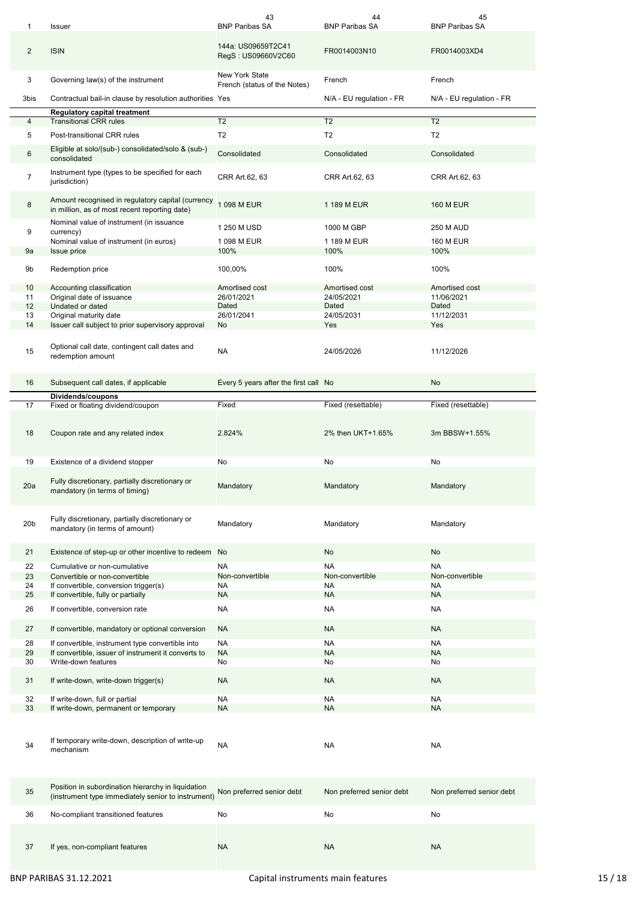| 1               | Issuer                                                                                                   | 43<br><b>BNP Paribas SA</b>                           | 44<br><b>BNP Paribas SA</b> | 45<br><b>BNP Paribas SA</b> |
|-----------------|----------------------------------------------------------------------------------------------------------|-------------------------------------------------------|-----------------------------|-----------------------------|
| 2               | <b>ISIN</b>                                                                                              | 144a: US09659T2C41<br>RegS: US09660V2C60              | FR0014003N10                | FR0014003XD4                |
| 3               | Governing law(s) of the instrument                                                                       | <b>New York State</b><br>French (status of the Notes) | French                      | French                      |
| 3bis            | Contractual bail-in clause by resolution authorities Yes                                                 |                                                       | N/A - EU regulation - FR    | N/A - EU regulation - FR    |
|                 | <b>Regulatory capital treatment</b>                                                                      |                                                       |                             |                             |
| 4               | <b>Transitional CRR rules</b>                                                                            | T <sub>2</sub>                                        | T <sub>2</sub>              | T <sub>2</sub>              |
| 5               | Post-transitional CRR rules                                                                              | T <sub>2</sub>                                        | T <sub>2</sub>              | T <sub>2</sub>              |
| 6               | Eligible at solo/(sub-) consolidated/solo & (sub-)<br>consolidated                                       | Consolidated                                          | Consolidated                | Consolidated                |
| $\overline{7}$  | Instrument type (types to be specified for each<br>jurisdiction)                                         | CRR Art.62, 63                                        | CRR Art.62, 63              | CRR Art.62, 63              |
| 8               | Amount recognised in regulatory capital (currency<br>in million, as of most recent reporting date)       | 1 098 M EUR                                           | 1 189 M EUR                 | <b>160 M EUR</b>            |
|                 | Nominal value of instrument (in issuance                                                                 | 1 250 M USD                                           | 1000 M GBP                  | <b>250 M AUD</b>            |
| 9               | currency)<br>Nominal value of instrument (in euros)                                                      | 1 098 M EUR                                           | 1 189 M EUR                 | <b>160 M EUR</b>            |
| 9a              | <b>Issue price</b>                                                                                       | 100%                                                  | 100%                        | 100%                        |
|                 |                                                                                                          |                                                       |                             |                             |
| 9b              | Redemption price                                                                                         | 100,00%                                               | 100%                        | 100%                        |
| 10              | Accounting classification                                                                                | Amortised cost                                        | Amortised cost              | Amortised cost              |
| 11              | Original date of issuance                                                                                | 26/01/2021                                            | 24/05/2021                  | 11/06/2021                  |
| 12              | Undated or dated                                                                                         | Dated<br>26/01/2041                                   | Dated                       | Dated                       |
| 13<br>14        | Original maturity date<br>Issuer call subject to prior supervisory approval                              | No                                                    | 24/05/2031<br>Yes           | 11/12/2031<br>Yes           |
|                 |                                                                                                          |                                                       |                             |                             |
| 15              | Optional call date, contingent call dates and<br>redemption amount                                       | <b>NA</b>                                             | 24/05/2026                  | 11/12/2026                  |
| 16              | Subsequent call dates, if applicable                                                                     | Every 5 years after the first call No                 |                             | No                          |
|                 | Dividends/coupons                                                                                        |                                                       |                             |                             |
| 17              | Fixed or floating dividend/coupon                                                                        | Fixed                                                 | Fixed (resettable)          | Fixed (resettable)          |
| 18              | Coupon rate and any related index                                                                        | 2.824%                                                | 2% then UKT+1.65%           | 3m BBSW+1.55%               |
| 19              | Existence of a dividend stopper                                                                          | No                                                    | No                          | No                          |
| 20a             | Fully discretionary, partially discretionary or<br>mandatory (in terms of timing)                        | Mandatory                                             | Mandatory                   | Mandatory                   |
| 20 <sub>b</sub> | Fully discretionary, partially discretionary or<br>mandatory (in terms of amount)                        | Mandatory                                             | Mandatory                   | Mandatory                   |
| 21              | Existence of step-up or other incentive to redeem No                                                     |                                                       | No                          | No                          |
| 22              |                                                                                                          | <b>NA</b>                                             | <b>NA</b>                   | <b>NA</b>                   |
|                 | Cumulative or non-cumulative                                                                             | Non-convertible                                       | Non-convertible             | Non-convertible             |
| 23<br>24        | Convertible or non-convertible<br>If convertible, conversion trigger(s)                                  | <b>NA</b>                                             | NA                          | <b>NA</b>                   |
| 25              | If convertible, fully or partially                                                                       | <b>NA</b>                                             | <b>NA</b>                   | <b>NA</b>                   |
| 26              |                                                                                                          | NA                                                    | <b>NA</b>                   | NA                          |
| 27              | If convertible, conversion rate<br>If convertible, mandatory or optional conversion                      | <b>NA</b>                                             | <b>NA</b>                   | <b>NA</b>                   |
|                 |                                                                                                          |                                                       |                             |                             |
| 28              | If convertible, instrument type convertible into                                                         | <b>NA</b>                                             | <b>NA</b>                   | <b>NA</b>                   |
| 29              | If convertible, issuer of instrument it converts to                                                      | <b>NA</b>                                             | <b>NA</b>                   | <b>NA</b>                   |
| 30<br>31        | Write-down features<br>If write-down, write-down trigger(s)                                              | No<br><b>NA</b>                                       | No<br><b>NA</b>             | No<br><b>NA</b>             |
|                 |                                                                                                          |                                                       |                             |                             |
| 32              | If write-down, full or partial                                                                           | NA                                                    | NA                          | NA                          |
| 33              | If write-down, permanent or temporary                                                                    | <b>NA</b>                                             | <b>NA</b>                   | <b>NA</b>                   |
| 34              | If temporary write-down, description of write-up<br>mechanism                                            | NA                                                    | NA                          | NA                          |
| 35              | Position in subordination hierarchy in liquidation<br>(instrument type immediately senior to instrument) | Non preferred senior debt                             | Non preferred senior debt   | Non preferred senior debt   |
| 36              | No-compliant transitioned features                                                                       | No                                                    | No                          | No                          |
|                 |                                                                                                          |                                                       |                             |                             |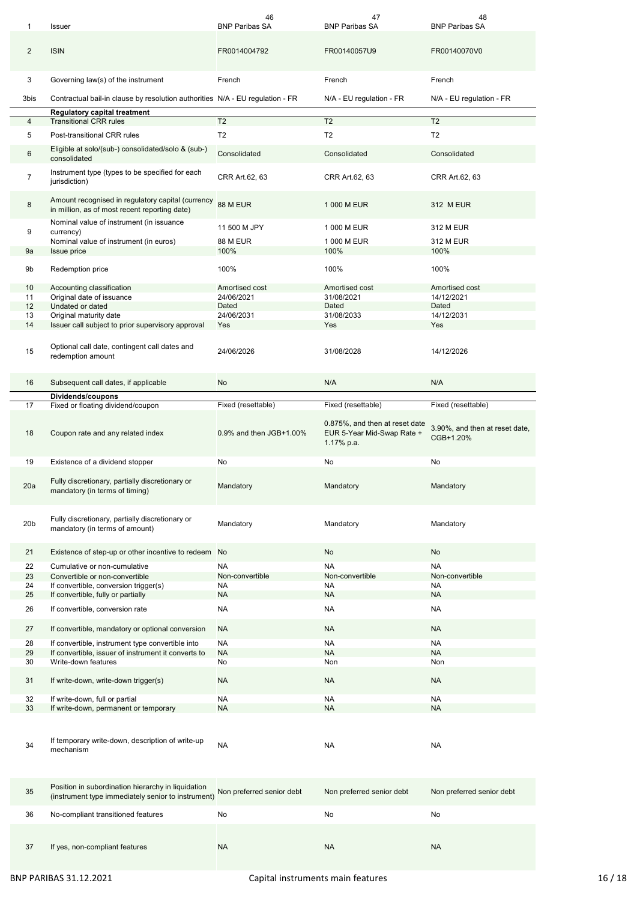| 1               | Issuer                                                                                                   | 46<br><b>BNP Paribas SA</b> | 47<br><b>BNP Paribas SA</b>                                                | 48<br><b>BNP Paribas SA</b>                 |
|-----------------|----------------------------------------------------------------------------------------------------------|-----------------------------|----------------------------------------------------------------------------|---------------------------------------------|
| 2               | <b>ISIN</b>                                                                                              | FR0014004792                | FR00140057U9                                                               | FR00140070V0                                |
| 3               | Governing law(s) of the instrument                                                                       | French                      | French                                                                     | French                                      |
| 3bis            | Contractual bail-in clause by resolution authorities N/A - EU regulation - FR                            |                             | N/A - EU regulation - FR                                                   | N/A - EU regulation - FR                    |
|                 | <b>Regulatory capital treatment</b>                                                                      |                             |                                                                            |                                             |
| 4               | <b>Transitional CRR rules</b>                                                                            | T2                          | T <sub>2</sub>                                                             | T <sub>2</sub>                              |
| 5               | Post-transitional CRR rules                                                                              | T <sub>2</sub>              | T <sub>2</sub>                                                             | T <sub>2</sub>                              |
| 6               | Eligible at solo/(sub-) consolidated/solo & (sub-)<br>consolidated                                       | Consolidated                | Consolidated                                                               | Consolidated                                |
| $\overline{7}$  | Instrument type (types to be specified for each<br>jurisdiction)                                         | CRR Art.62, 63              | CRR Art.62, 63                                                             | CRR Art.62, 63                              |
| 8               | Amount recognised in regulatory capital (currency<br>in million, as of most recent reporting date)       | 88 M EUR                    | 1 000 M EUR                                                                | 312 M EUR                                   |
|                 | Nominal value of instrument (in issuance                                                                 | 11 500 M JPY                | 1 000 M EUR                                                                | 312 M EUR                                   |
| 9               | currency)<br>Nominal value of instrument (in euros)                                                      | <b>88 M EUR</b>             | 1 000 M EUR                                                                | 312 M EUR                                   |
| 9a              | <b>Issue price</b>                                                                                       | 100%                        | 100%                                                                       | 100%                                        |
|                 |                                                                                                          |                             |                                                                            |                                             |
| 9b              | Redemption price                                                                                         | 100%                        | 100%                                                                       | 100%                                        |
| 10              | Accounting classification                                                                                | Amortised cost              | Amortised cost                                                             | Amortised cost                              |
| 11              | Original date of issuance                                                                                | 24/06/2021                  | 31/08/2021                                                                 | 14/12/2021                                  |
| 12              | Undated or dated                                                                                         | Dated                       | Dated                                                                      | Dated                                       |
| 13<br>14        | Original maturity date<br>Issuer call subject to prior supervisory approval                              | 24/06/2031<br>Yes           | 31/08/2033<br>Yes                                                          | 14/12/2031<br>Yes                           |
|                 |                                                                                                          |                             |                                                                            |                                             |
| 15              | Optional call date, contingent call dates and<br>redemption amount                                       | 24/06/2026                  | 31/08/2028                                                                 | 14/12/2026                                  |
| 16              | Subsequent call dates, if applicable                                                                     | No                          | N/A                                                                        | N/A                                         |
|                 | Dividends/coupons                                                                                        |                             |                                                                            |                                             |
| 17              | Fixed or floating dividend/coupon                                                                        | Fixed (resettable)          | Fixed (resettable)                                                         | Fixed (resettable)                          |
| 18              | Coupon rate and any related index                                                                        | 0.9% and then JGB+1.00%     | 0.875%, and then at reset date<br>EUR 5-Year Mid-Swap Rate +<br>1.17% p.a. | 3.90%, and then at reset date,<br>CGB+1.20% |
|                 |                                                                                                          |                             |                                                                            |                                             |
| 19              | Existence of a dividend stopper                                                                          | No                          | No                                                                         | No                                          |
| 20a             | Fully discretionary, partially discretionary or<br>mandatory (in terms of timing)                        | Mandatory                   | Mandatory                                                                  | Mandatory                                   |
| 20 <sub>b</sub> | Fully discretionary, partially discretionary or<br>mandatory (in terms of amount)                        | Mandatory                   | Mandatory                                                                  | Mandatory                                   |
| 21              |                                                                                                          |                             | No                                                                         | No                                          |
|                 | Existence of step-up or other incentive to redeem No                                                     |                             |                                                                            |                                             |
| 22              | Cumulative or non-cumulative                                                                             | <b>NA</b>                   | <b>NA</b>                                                                  | <b>NA</b>                                   |
| 23              | Convertible or non-convertible                                                                           | Non-convertible             | Non-convertible                                                            | Non-convertible                             |
| 24              | If convertible, conversion trigger(s)                                                                    | <b>NA</b>                   | NA                                                                         | <b>NA</b>                                   |
| 25              | If convertible, fully or partially                                                                       | <b>NA</b>                   | <b>NA</b>                                                                  | <b>NA</b>                                   |
| 26              | If convertible, conversion rate                                                                          | NA                          | <b>NA</b>                                                                  | NA                                          |
| 27              | If convertible, mandatory or optional conversion                                                         | <b>NA</b>                   | <b>NA</b>                                                                  | <b>NA</b>                                   |
| 28              | If convertible, instrument type convertible into                                                         | <b>NA</b>                   | <b>NA</b>                                                                  | <b>NA</b>                                   |
| 29              | If convertible, issuer of instrument it converts to                                                      | <b>NA</b>                   | <b>NA</b>                                                                  | <b>NA</b>                                   |
| 30              | Write-down features                                                                                      | No                          | Non                                                                        | Non                                         |
| 31              | If write-down, write-down trigger(s)                                                                     | <b>NA</b>                   | <b>NA</b>                                                                  | <b>NA</b>                                   |
|                 |                                                                                                          |                             |                                                                            |                                             |
| 32              | If write-down, full or partial                                                                           | NA                          | NA<br><b>NA</b>                                                            | NA<br><b>NA</b>                             |
| 33              | If write-down, permanent or temporary                                                                    | <b>NA</b>                   |                                                                            |                                             |
| 34              | If temporary write-down, description of write-up<br>mechanism                                            | NA                          | NA                                                                         | NA                                          |
| 35              | Position in subordination hierarchy in liquidation<br>(instrument type immediately senior to instrument) | Non preferred senior debt   | Non preferred senior debt                                                  | Non preferred senior debt                   |
| 36              | No-compliant transitioned features                                                                       | No                          | No                                                                         | No                                          |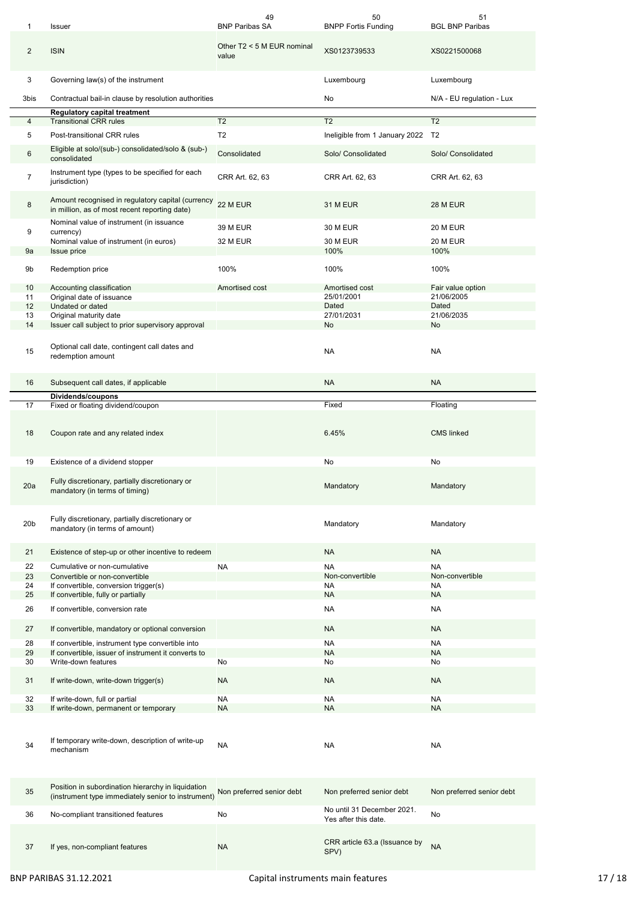| 1               | Issuer                                                                                                   | 49<br><b>BNP Paribas SA</b>         | 50<br><b>BNPP Fortis Funding</b>                   | 51<br><b>BGL BNP Paribas</b>    |
|-----------------|----------------------------------------------------------------------------------------------------------|-------------------------------------|----------------------------------------------------|---------------------------------|
| $\overline{2}$  | <b>ISIN</b>                                                                                              | Other T2 < 5 M EUR nominal<br>value | XS0123739533                                       | XS0221500068                    |
| 3               | Governing law(s) of the instrument                                                                       |                                     | Luxembourg                                         | Luxembourg                      |
| 3bis            | Contractual bail-in clause by resolution authorities                                                     |                                     | No                                                 | N/A - EU regulation - Lux       |
| $\overline{4}$  | Regulatory capital treatment<br><b>Transitional CRR rules</b>                                            | $\overline{12}$                     | T <sub>2</sub>                                     | $\overline{12}$                 |
|                 |                                                                                                          |                                     |                                                    |                                 |
| 5               | Post-transitional CRR rules                                                                              | T <sub>2</sub>                      | Ineligible from 1 January 2022                     | T2                              |
| 6               | Eligible at solo/(sub-) consolidated/solo & (sub-)<br>consolidated                                       | Consolidated                        | Solo/ Consolidated                                 | Solo/ Consolidated              |
| $\overline{7}$  | Instrument type (types to be specified for each<br>jurisdiction)                                         | CRR Art. 62, 63                     | CRR Art. 62, 63                                    | CRR Art. 62, 63                 |
| 8               | Amount recognised in regulatory capital (currency<br>in million, as of most recent reporting date)       | 22 M EUR                            | <b>31 M EUR</b>                                    | <b>28 M EUR</b>                 |
|                 | Nominal value of instrument (in issuance                                                                 | <b>39 M EUR</b>                     | <b>30 M EUR</b>                                    | <b>20 M EUR</b>                 |
| 9               | currency)<br>Nominal value of instrument (in euros)                                                      | 32 M EUR                            | <b>30 M EUR</b>                                    | <b>20 M EUR</b>                 |
| 9a              | Issue price                                                                                              |                                     | 100%                                               | 100%                            |
|                 |                                                                                                          |                                     |                                                    |                                 |
| 9b              | Redemption price                                                                                         | 100%                                | 100%                                               | 100%                            |
| 10<br>11        | Accounting classification<br>Original date of issuance                                                   | Amortised cost                      | Amortised cost<br>25/01/2001                       | Fair value option<br>21/06/2005 |
| 12              | Undated or dated                                                                                         |                                     | Dated                                              | Dated                           |
| 13              | Original maturity date                                                                                   |                                     | 27/01/2031                                         | 21/06/2035                      |
| 14              | Issuer call subject to prior supervisory approval                                                        |                                     | No                                                 | No                              |
| 15              | Optional call date, contingent call dates and<br>redemption amount                                       |                                     | NA                                                 | <b>NA</b>                       |
| 16              | Subsequent call dates, if applicable                                                                     |                                     | <b>NA</b>                                          | <b>NA</b>                       |
|                 | Dividends/coupons                                                                                        |                                     |                                                    |                                 |
| 17              | Fixed or floating dividend/coupon                                                                        |                                     | Fixed                                              | Floating                        |
| 18              | Coupon rate and any related index                                                                        |                                     | 6.45%                                              | <b>CMS</b> linked               |
| 19              | Existence of a dividend stopper                                                                          |                                     | No                                                 | No                              |
| 20a             | Fully discretionary, partially discretionary or<br>mandatory (in terms of timing)                        |                                     | Mandatory                                          | Mandatory                       |
| 20 <sub>b</sub> | Fully discretionary, partially discretionary or<br>mandatory (in terms of amount)                        |                                     | Mandatory                                          | Mandatory                       |
| 21              | Existence of step-up or other incentive to redeem                                                        |                                     | <b>NA</b>                                          | <b>NA</b>                       |
| 22              | Cumulative or non-cumulative                                                                             | <b>NA</b>                           | <b>NA</b>                                          | <b>NA</b>                       |
| 23              | Convertible or non-convertible                                                                           |                                     | Non-convertible                                    | Non-convertible                 |
| 24              | If convertible, conversion trigger(s)                                                                    |                                     | <b>NA</b>                                          | <b>NA</b>                       |
| 25              | If convertible, fully or partially                                                                       |                                     | <b>NA</b>                                          | <b>NA</b>                       |
| 26              | If convertible, conversion rate                                                                          |                                     | <b>NA</b>                                          | <b>NA</b>                       |
| 27              | If convertible, mandatory or optional conversion                                                         |                                     | <b>NA</b>                                          | <b>NA</b>                       |
| 28              | If convertible, instrument type convertible into                                                         |                                     | NA                                                 | <b>NA</b>                       |
| 29<br>30        | If convertible, issuer of instrument it converts to<br>Write-down features                               | No                                  | <b>NA</b><br>No                                    | <b>NA</b><br>No                 |
| 31              | If write-down, write-down trigger(s)                                                                     | <b>NA</b>                           | <b>NA</b>                                          | <b>NA</b>                       |
|                 |                                                                                                          |                                     |                                                    |                                 |
| 32              | If write-down, full or partial                                                                           | NA                                  | NA                                                 | <b>NA</b>                       |
| 33              | If write-down, permanent or temporary                                                                    | <b>NA</b>                           | <b>NA</b>                                          | <b>NA</b>                       |
| 34              | If temporary write-down, description of write-up<br>mechanism                                            | NA                                  | NA                                                 | <b>NA</b>                       |
| 35              | Position in subordination hierarchy in liquidation<br>(instrument type immediately senior to instrument) | Non preferred senior debt           | Non preferred senior debt                          | Non preferred senior debt       |
| 36              | No-compliant transitioned features                                                                       | No                                  | No until 31 December 2021.<br>Yes after this date. | No                              |
| 37              | If yes, non-compliant features                                                                           | <b>NA</b>                           | CRR article 63.a (Issuance by<br>SPV)              | <b>NA</b>                       |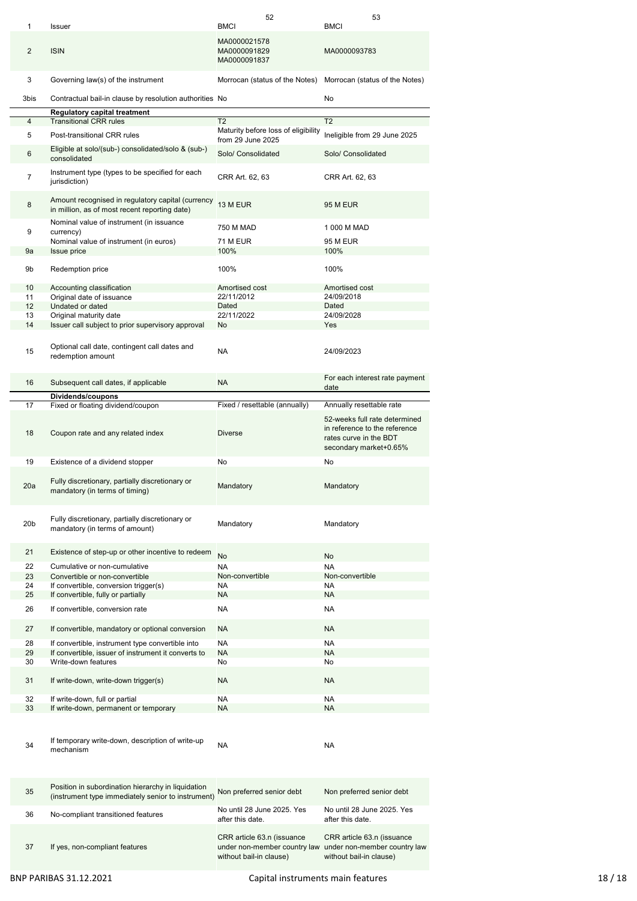|                 |                                                                                                          | 52                                                    | 53                                                                                       |
|-----------------|----------------------------------------------------------------------------------------------------------|-------------------------------------------------------|------------------------------------------------------------------------------------------|
| 1               | <b>Issuer</b>                                                                                            | <b>BMCI</b>                                           | <b>BMCI</b>                                                                              |
| $\overline{2}$  | <b>ISIN</b>                                                                                              | MA0000021578<br>MA0000091829<br>MA0000091837          | MA0000093783                                                                             |
| 3               | Governing law(s) of the instrument                                                                       | Morrocan (status of the Notes)                        | Morrocan (status of the Notes)                                                           |
| 3bis            | Contractual bail-in clause by resolution authorities No                                                  |                                                       | No                                                                                       |
|                 | <b>Regulatory capital treatment</b>                                                                      |                                                       |                                                                                          |
| 4               | <b>Transitional CRR rules</b>                                                                            | T <sub>2</sub><br>Maturity before loss of eligibility | T <sub>2</sub>                                                                           |
| 5               | Post-transitional CRR rules                                                                              | from 29 June 2025                                     | Ineligible from 29 June 2025                                                             |
| 6               | Eligible at solo/(sub-) consolidated/solo & (sub-)<br>consolidated                                       | Solo/ Consolidated                                    | Solo/ Consolidated                                                                       |
| 7               | Instrument type (types to be specified for each<br>jurisdiction)                                         | CRR Art. 62, 63                                       | CRR Art. 62, 63                                                                          |
| 8               | Amount recognised in regulatory capital (currency<br>in million, as of most recent reporting date)       | 13 M EUR                                              | <b>95 M EUR</b>                                                                          |
|                 | Nominal value of instrument (in issuance                                                                 | 750 M MAD                                             | 1 000 M MAD                                                                              |
| 9               | currency)<br>Nominal value of instrument (in euros)                                                      | 71 M EUR                                              | <b>95 M EUR</b>                                                                          |
| 9a              | Issue price                                                                                              | 100%                                                  | 100%                                                                                     |
| 9b              | Redemption price                                                                                         | 100%                                                  | 100%                                                                                     |
| 10              | Accounting classification                                                                                | Amortised cost                                        | Amortised cost                                                                           |
| 11              | Original date of issuance                                                                                | 22/11/2012                                            | 24/09/2018                                                                               |
| 12 <sup>2</sup> | Undated or dated                                                                                         | Dated                                                 | Dated                                                                                    |
| 13              | Original maturity date                                                                                   | 22/11/2022                                            | 24/09/2028                                                                               |
| 14              | Issuer call subject to prior supervisory approval                                                        | No                                                    | <b>Yes</b>                                                                               |
| 15              | Optional call date, contingent call dates and<br>redemption amount                                       | <b>NA</b>                                             | 24/09/2023                                                                               |
| 16              | Subsequent call dates, if applicable                                                                     | <b>NA</b>                                             | For each interest rate payment                                                           |
|                 | Dividends/coupons                                                                                        |                                                       | date                                                                                     |
| 17              | Fixed or floating dividend/coupon                                                                        | Fixed / resettable (annually)                         | Annually resettable rate                                                                 |
| 18              | Coupon rate and any related index                                                                        | <b>Diverse</b>                                        | 52-weeks full rate determined<br>in reference to the reference<br>rates curve in the BDT |
|                 |                                                                                                          |                                                       | secondary market+0.65%                                                                   |
| 19              | Existence of a dividend stopper                                                                          | No                                                    | No                                                                                       |
| 20a             | Fully discretionary, partially discretionary or<br>mandatory (in terms of timing)                        | Mandatory                                             | Mandatory                                                                                |
| 20 <sub>b</sub> | Fully discretionary, partially discretionary or<br>mandatory (in terms of amount)                        | Mandatory                                             | Mandatory                                                                                |
| 21              | Existence of step-up or other incentive to redeem                                                        |                                                       |                                                                                          |
|                 |                                                                                                          | No                                                    | No                                                                                       |
| 22              | Cumulative or non-cumulative                                                                             | <b>NA</b>                                             | <b>NA</b>                                                                                |
| 23              | Convertible or non-convertible                                                                           | Non-convertible                                       | Non-convertible                                                                          |
| 24              | If convertible, conversion trigger(s)                                                                    | <b>NA</b><br>NA                                       | <b>NA</b><br><b>NA</b>                                                                   |
| 25              | If convertible, fully or partially                                                                       |                                                       |                                                                                          |
| 26              | If convertible, conversion rate                                                                          | NA                                                    | <b>NA</b>                                                                                |
| 27              | If convertible, mandatory or optional conversion                                                         | <b>NA</b>                                             | <b>NA</b>                                                                                |
| 28              | If convertible, instrument type convertible into                                                         | <b>NA</b>                                             | <b>NA</b>                                                                                |
| 29              | If convertible, issuer of instrument it converts to                                                      | <b>NA</b>                                             | <b>NA</b>                                                                                |
| 30              | Write-down features                                                                                      | No                                                    | No                                                                                       |
| 31              | If write-down, write-down trigger(s)                                                                     | <b>NA</b>                                             | <b>NA</b>                                                                                |
| 32              | If write-down, full or partial                                                                           | NA                                                    | <b>NA</b>                                                                                |
| 33              | If write-down, permanent or temporary                                                                    | <b>NA</b>                                             | <b>NA</b>                                                                                |
| 34              | If temporary write-down, description of write-up<br>mechanism                                            | NA                                                    | <b>NA</b>                                                                                |
| 35              | Position in subordination hierarchy in liquidation<br>(instrument type immediately senior to instrument) | Non preferred senior debt                             | Non preferred senior debt                                                                |
| 36              | No-compliant transitioned features                                                                       | No until 28 June 2025. Yes<br>after this date.        | No until 28 June 2025. Yes<br>after this date.                                           |

without bail-in clause)

without bail-in clause)